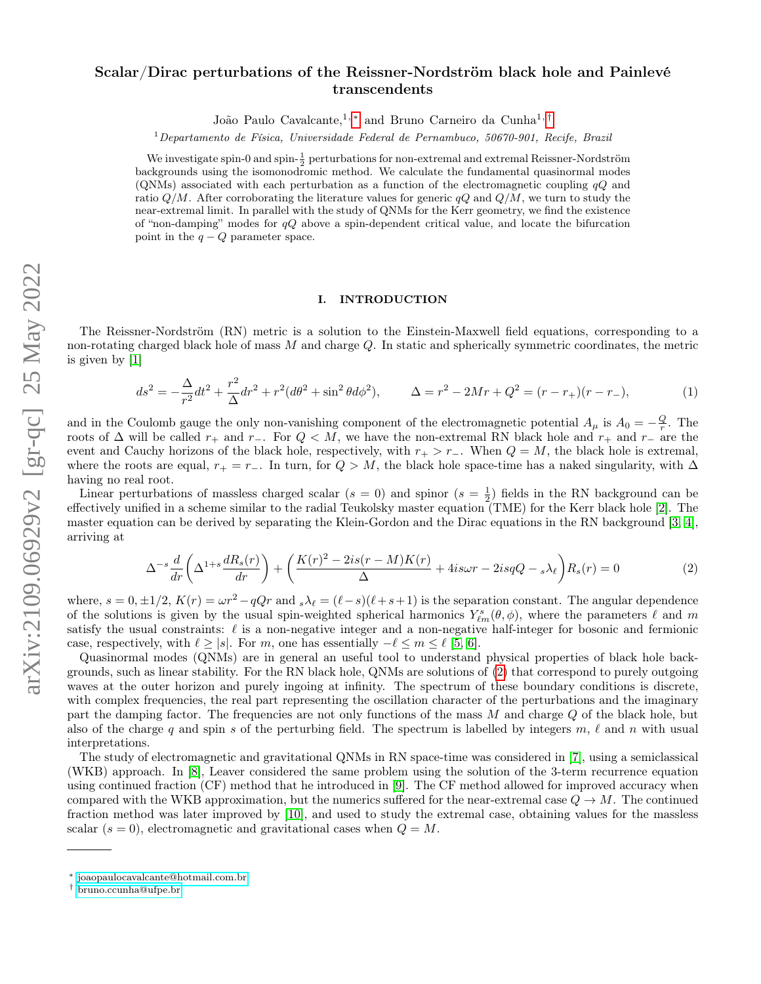# Scalar/Dirac perturbations of the Reissner-Nordström black hole and Painlevé transcendents

João Paulo Cavalcante,<sup>1,[∗](#page-0-0)</sup> and Bruno Carneiro da Cunha<sup>1,[†](#page-0-1)</sup>

 $1$ Departamento de Física, Universidade Federal de Pernambuco, 50670-901, Recife, Brazil

We investigate spin-0 and spin- $\frac{1}{2}$  perturbations for non-extremal and extremal Reissner-Nordström backgrounds using the isomonodromic method. We calculate the fundamental quasinormal modes (QNMs) associated with each perturbation as a function of the electromagnetic coupling  $qQ$  and ratio  $Q/M$ . After corroborating the literature values for generic  $qQ$  and  $Q/M$ , we turn to study the near-extremal limit. In parallel with the study of QNMs for the Kerr geometry, we find the existence of "non-damping" modes for  $qQ$  above a spin-dependent critical value, and locate the bifurcation point in the  $q - Q$  parameter space.

# I. INTRODUCTION

The Reissner-Nordström (RN) metric is a solution to the Einstein-Maxwell field equations, corresponding to a non-rotating charged black hole of mass  $M$  and charge  $Q$ . In static and spherically symmetric coordinates, the metric is given by [\[1\]](#page-14-0)

$$
ds^{2} = -\frac{\Delta}{r^{2}}dt^{2} + \frac{r^{2}}{\Delta}dr^{2} + r^{2}(d\theta^{2} + \sin^{2}\theta d\phi^{2}), \qquad \Delta = r^{2} - 2Mr + Q^{2} = (r - r_{+})(r - r_{-}), \tag{1}
$$

and in the Coulomb gauge the only non-vanishing component of the electromagnetic potential  $A_\mu$  is  $A_0 = -\frac{Q}{r}$ . The roots of  $\Delta$  will be called r<sub>+</sub> and r<sub>−</sub>. For  $Q < M$ , we have the non-extremal RN black hole and r<sub>+</sub> and r<sub>−</sub> are the event and Cauchy horizons of the black hole, respectively, with  $r_{+} > r_{-}$ . When  $Q = M$ , the black hole is extremal, where the roots are equal,  $r_+ = r_-\$ . In turn, for  $Q > M$ , the black hole space-time has a naked singularity, with  $\Delta$ having no real root.

Linear perturbations of massless charged scalar  $(s = 0)$  and spinor  $(s = \frac{1}{2})$  fields in the RN background can be effectively unified in a scheme similar to the radial Teukolsky master equation (TME) for the Kerr black hole [\[2\]](#page-14-1). The master equation can be derived by separating the Klein-Gordon and the Dirac equations in the RN background [\[3,](#page-14-2) [4\]](#page-14-3), arriving at

<span id="page-0-2"></span>
$$
\Delta^{-s} \frac{d}{dr} \left( \Delta^{1+s} \frac{dR_s(r)}{dr} \right) + \left( \frac{K(r)^2 - 2is(r - M)K(r)}{\Delta} + 4is\omega r - 2isqQ - s\lambda_\ell \right) R_s(r) = 0 \tag{2}
$$

where,  $s = 0, \pm 1/2$ ,  $K(r) = \omega r^2 - qQr$  and  $s\lambda_\ell = (\ell - s)(\ell + s + 1)$  is the separation constant. The angular dependence of the solutions is given by the usual spin-weighted spherical harmonics  $Y_{\ell m}^s(\theta, \phi)$ , where the parameters  $\ell$  and m satisfy the usual constraints:  $\ell$  is a non-negative integer and a non-negative half-integer for bosonic and fermionic case, respectively, with  $\ell \geq |s|$ . For m, one has essentially  $-\ell \leq m \leq \ell$  [\[5,](#page-14-4) [6\]](#page-14-5).

Quasinormal modes (QNMs) are in general an useful tool to understand physical properties of black hole backgrounds, such as linear stability. For the RN black hole, QNMs are solutions of [\(2\)](#page-0-2) that correspond to purely outgoing waves at the outer horizon and purely ingoing at infinity. The spectrum of these boundary conditions is discrete, with complex frequencies, the real part representing the oscillation character of the perturbations and the imaginary part the damping factor. The frequencies are not only functions of the mass M and charge Q of the black hole, but also of the charge q and spin s of the perturbing field. The spectrum is labelled by integers  $m, \ell$  and  $n$  with usual interpretations.

The study of electromagnetic and gravitational QNMs in RN space-time was considered in [\[7\]](#page-14-6), using a semiclassical (WKB) approach. In [\[8\]](#page-14-7), Leaver considered the same problem using the solution of the 3-term recurrence equation using continued fraction (CF) method that he introduced in [\[9\]](#page-14-8). The CF method allowed for improved accuracy when compared with the WKB approximation, but the numerics suffered for the near-extremal case  $Q \to M$ . The continued fraction method was later improved by [\[10\]](#page-14-9), and used to study the extremal case, obtaining values for the massless scalar  $(s = 0)$ , electromagnetic and gravitational cases when  $Q = M$ .

<span id="page-0-0"></span><sup>∗</sup> [joaopaulocavalcante@hotmail.com.br](mailto:joaopaulocavalcante@hotmail.com.br)

<span id="page-0-1"></span><sup>†</sup> [bruno.ccunha@ufpe.br](mailto:bruno.ccunha@ufpe.br)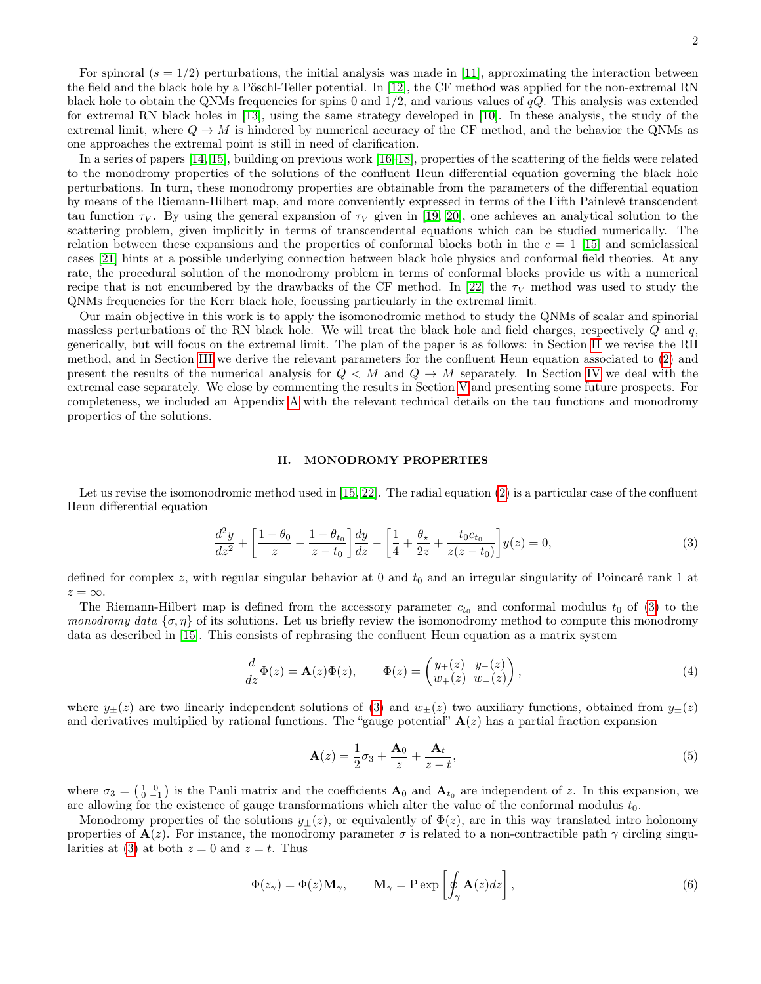In a series of papers [\[14,](#page-14-13) [15\]](#page-14-14), building on previous work [\[16–](#page-14-15)[18\]](#page-14-16), properties of the scattering of the fields were related to the monodromy properties of the solutions of the confluent Heun differential equation governing the black hole perturbations. In turn, these monodromy properties are obtainable from the parameters of the differential equation by means of the Riemann-Hilbert map, and more conveniently expressed in terms of the Fifth Painlevé transcendent tau function  $\tau_V$ . By using the general expansion of  $\tau_V$  given in [\[19,](#page-15-0) [20\]](#page-15-1), one achieves an analytical solution to the scattering problem, given implicitly in terms of transcendental equations which can be studied numerically. The relation between these expansions and the properties of conformal blocks both in the  $c = 1$  [\[15\]](#page-14-14) and semiclassical cases [\[21\]](#page-15-2) hints at a possible underlying connection between black hole physics and conformal field theories. At any rate, the procedural solution of the monodromy problem in terms of conformal blocks provide us with a numerical recipe that is not encumbered by the drawbacks of the CF method. In [\[22\]](#page-15-3) the  $\tau_V$  method was used to study the QNMs frequencies for the Kerr black hole, focussing particularly in the extremal limit.

Our main objective in this work is to apply the isomonodromic method to study the QNMs of scalar and spinorial massless perturbations of the RN black hole. We will treat the black hole and field charges, respectively Q and q, generically, but will focus on the extremal limit. The plan of the paper is as follows: in Section [II](#page-1-0) we revise the RH method, and in Section [III](#page-3-0) we derive the relevant parameters for the confluent Heun equation associated to [\(2\)](#page-0-2) and present the results of the numerical analysis for  $Q < M$  and  $Q \rightarrow M$  separately. In Section [IV](#page-9-0) we deal with the extremal case separately. We close by commenting the results in Section [V](#page-10-0) and presenting some future prospects. For completeness, we included an Appendix [A](#page-12-0) with the relevant technical details on the tau functions and monodromy properties of the solutions.

#### <span id="page-1-0"></span>II. MONODROMY PROPERTIES

Let us revise the isomonodromic method used in [\[15,](#page-14-14) [22\]](#page-15-3). The radial equation [\(2\)](#page-0-2) is a particular case of the confluent Heun differential equation

<span id="page-1-1"></span>
$$
\frac{d^2y}{dz^2} + \left[\frac{1-\theta_0}{z} + \frac{1-\theta_{t_0}}{z-t_0}\right] \frac{dy}{dz} - \left[\frac{1}{4} + \frac{\theta_\star}{2z} + \frac{t_0c_{t_0}}{z(z-t_0)}\right] y(z) = 0,\tag{3}
$$

defined for complex z, with regular singular behavior at 0 and  $t_0$  and an irregular singularity of Poincaré rank 1 at  $z = \infty$ .

The Riemann-Hilbert map is defined from the accessory parameter  $c_{t_0}$  and conformal modulus  $t_0$  of [\(3\)](#page-1-1) to the *monodromy data*  $\{\sigma, \eta\}$  of its solutions. Let us briefly review the isomonodromy method to compute this monodromy data as described in [\[15\]](#page-14-14). This consists of rephrasing the confluent Heun equation as a matrix system

<span id="page-1-2"></span>
$$
\frac{d}{dz}\Phi(z) = \mathbf{A}(z)\Phi(z), \qquad \Phi(z) = \begin{pmatrix} y_+(z) & y_-(z) \\ w_+(z) & w_-(z) \end{pmatrix},\tag{4}
$$

where  $y_{\pm}(z)$  are two linearly independent solutions of [\(3\)](#page-1-1) and  $w_{\pm}(z)$  two auxiliary functions, obtained from  $y_{\pm}(z)$ and derivatives multiplied by rational functions. The "gauge potential"  $A(z)$  has a partial fraction expansion

<span id="page-1-3"></span>
$$
\mathbf{A}(z) = \frac{1}{2}\sigma_3 + \frac{\mathbf{A}_0}{z} + \frac{\mathbf{A}_t}{z - t},\tag{5}
$$

where  $\sigma_3 = \begin{pmatrix} 1 & 0 \\ 0 & -1 \end{pmatrix}$  is the Pauli matrix and the coefficients  $\mathbf{A}_0$  and  $\mathbf{A}_{t_0}$  are independent of z. In this expansion, we are allowing for the existence of gauge transformations which alter the value of the conformal modulus  $t_0$ .

Monodromy properties of the solutions  $y_{\pm}(z)$ , or equivalently of  $\Phi(z)$ , are in this way translated intro holonomy properties of  $\mathbf{A}(z)$ . For instance, the monodromy parameter  $\sigma$  is related to a non-contractible path  $\gamma$  circling singu-larities at [\(3\)](#page-1-1) at both  $z = 0$  and  $z = t$ . Thus

$$
\Phi(z_{\gamma}) = \Phi(z) \mathbf{M}_{\gamma}, \qquad \mathbf{M}_{\gamma} = \text{P} \exp\left[\oint_{\gamma} \mathbf{A}(z) dz\right],
$$
\n(6)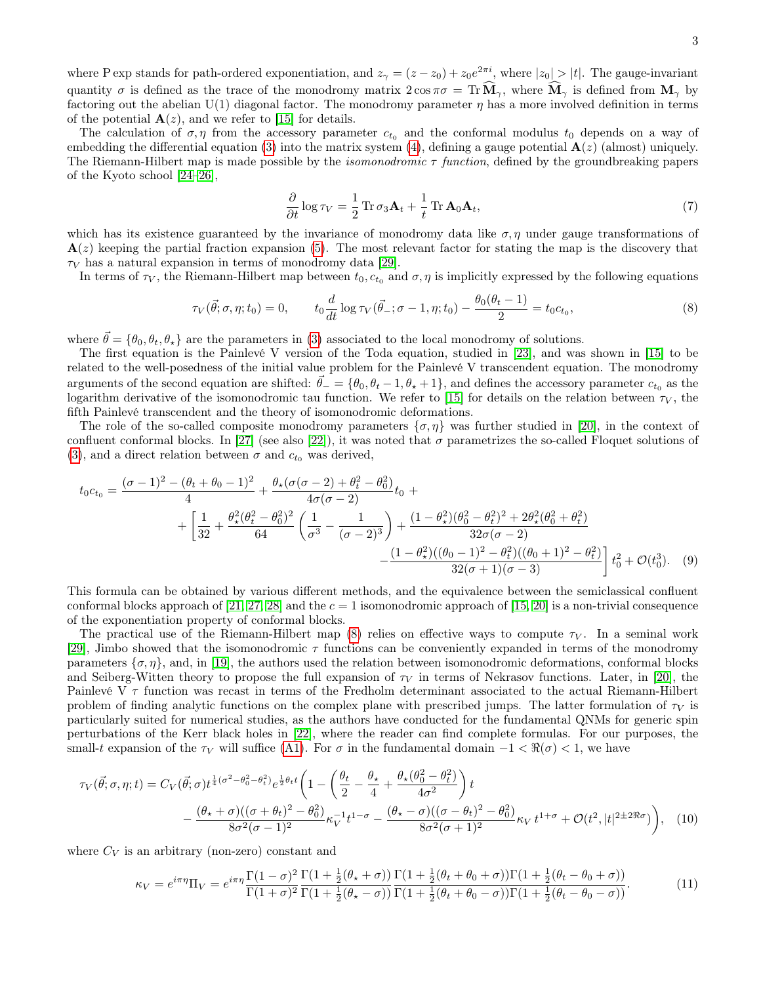The calculation of  $\sigma, \eta$  from the accessory parameter  $c_{t_0}$  and the conformal modulus  $t_0$  depends on a way of embedding the differential equation [\(3\)](#page-1-1) into the matrix system [\(4\)](#page-1-2), defining a gauge potential  $\mathbf{A}(z)$  (almost) uniquely. The Riemann-Hilbert map is made possible by the *isomonodromic*  $\tau$  function, defined by the groundbreaking papers of the Kyoto school [\[24–](#page-15-4)[26\]](#page-15-5),

<span id="page-2-2"></span>
$$
\frac{\partial}{\partial t} \log \tau_V = \frac{1}{2} \operatorname{Tr} \sigma_3 \mathbf{A}_t + \frac{1}{t} \operatorname{Tr} \mathbf{A}_0 \mathbf{A}_t,\tag{7}
$$

which has its existence guaranteed by the invariance of monodromy data like  $\sigma$ ,  $\eta$  under gauge transformations of  $\mathbf{A}(z)$  keeping the partial fraction expansion [\(5\)](#page-1-3). The most relevant factor for stating the map is the discovery that  $\tau_V$  has a natural expansion in terms of monodromy data [\[29\]](#page-15-6).

In terms of  $\tau_V$ , the Riemann-Hilbert map between  $t_0, c_{t_0}$  and  $\sigma, \eta$  is implicitly expressed by the following equations

<span id="page-2-0"></span>
$$
\tau_V(\vec{\theta}; \sigma, \eta; t_0) = 0, \qquad t_0 \frac{d}{dt} \log \tau_V(\vec{\theta}_-; \sigma - 1, \eta; t_0) - \frac{\theta_0(\theta_t - 1)}{2} = t_0 c_{t_0}, \tag{8}
$$

where  $\vec{\theta} = {\theta_0, \theta_t, \theta_\star}$  are the parameters in [\(3\)](#page-1-1) associated to the local monodromy of solutions.

The first equation is the Painlevé V version of the Toda equation, studied in [\[23\]](#page-15-7), and was shown in [\[15\]](#page-14-14) to be related to the well-posedness of the initial value problem for the Painlevé V transcendent equation. The monodromy arguments of the second equation are shifted:  $\vec{\theta}_{-} = \{\theta_0, \theta_t - 1, \theta_{\star} + 1\}$ , and defines the accessory parameter  $c_{t_0}$  as the logarithm derivative of the isomonodromic tau function. We refer to [\[15\]](#page-14-14) for details on the relation between  $\tau_V$ , the fifth Painlevé transcendent and the theory of isomonodromic deformations.

The role of the so-called composite monodromy parameters  $\{\sigma, \eta\}$  was further studied in [\[20\]](#page-15-1), in the context of confluent conformal blocks. In [\[27\]](#page-15-8) (see also [\[22\]](#page-15-3)), it was noted that  $\sigma$  parametrizes the so-called Floquet solutions of [\(3\)](#page-1-1), and a direct relation between  $\sigma$  and  $c_{t_0}$  was derived,

$$
t_0 c_{t_0} = \frac{(\sigma - 1)^2 - (\theta_t + \theta_0 - 1)^2}{4} + \frac{\theta_\star (\sigma(\sigma - 2) + \theta_t^2 - \theta_0^2)}{4\sigma(\sigma - 2)} t_0 + \frac{1}{32} + \frac{\theta_\star^2 (\theta_t^2 - \theta_0^2)^2}{64} \left(\frac{1}{\sigma^3} - \frac{1}{(\sigma - 2)^3}\right) + \frac{(1 - \theta_\star^2)(\theta_0^2 - \theta_t^2)^2 + 2\theta_\star^2 (\theta_0^2 + \theta_t^2)}{32\sigma(\sigma - 2)} - \frac{(1 - \theta_\star^2)((\theta_0 - 1)^2 - \theta_t^2)((\theta_0 + 1)^2 - \theta_t^2)}{32(\sigma + 1)(\sigma - 3)} \left[t_0^2 + \mathcal{O}(t_0^3). \quad (9)
$$

This formula can be obtained by various different methods, and the equivalence between the semiclassical confluent conformal blocks approach of [\[21,](#page-15-2) [27,](#page-15-8) [28\]](#page-15-9) and the  $c = 1$  isomonodromic approach of [\[15,](#page-14-14) [20\]](#page-15-1) is a non-trivial consequence of the exponentiation property of conformal blocks.

The practical use of the Riemann-Hilbert map [\(8\)](#page-2-0) relies on effective ways to compute  $\tau_V$ . In a seminal work [\[29\]](#page-15-6), Jimbo showed that the isomonodromic  $\tau$  functions can be conveniently expanded in terms of the monodromy parameters  $\{\sigma, \eta\}$ , and, in [\[19\]](#page-15-0), the authors used the relation between isomonodromic deformations, conformal blocks and Seiberg-Witten theory to propose the full expansion of  $\tau_V$  in terms of Nekrasov functions. Later, in [\[20\]](#page-15-1), the Painlevé V  $\tau$  function was recast in terms of the Fredholm determinant associated to the actual Riemann-Hilbert problem of finding analytic functions on the complex plane with prescribed jumps. The latter formulation of  $\tau_V$  is particularly suited for numerical studies, as the authors have conducted for the fundamental QNMs for generic spin perturbations of the Kerr black holes in [\[22\]](#page-15-3), where the reader can find complete formulas. For our purposes, the small-t expansion of the  $\tau_V$  will suffice [\(A1\)](#page-12-1). For  $\sigma$  in the fundamental domain  $-1 < \Re(\sigma) < 1$ , we have

$$
\tau_V(\vec{\theta};\sigma,\eta;t) = C_V(\vec{\theta};\sigma)t^{\frac{1}{4}(\sigma^2-\theta_0^2-\theta_t^2)}e^{\frac{1}{2}\theta_t t} \left(1 - \left(\frac{\theta_t}{2} - \frac{\theta_\star}{4} + \frac{\theta_\star(\theta_0^2-\theta_t^2)}{4\sigma^2}\right)t\right) \left(\frac{\theta_\star + \sigma}{8\sigma^2(\sigma - 1)^2}e^{\frac{1}{2}\theta_t}\right) e^{-\frac{1}{2}(\theta_\star - \sigma)} \left(\frac{\theta_\star - \sigma}{8\sigma^2(\sigma + 1)^2}e^{\frac{1}{2}(\theta_\star - \theta_0^2)}\right) e^{-\frac{1}{2}(\theta_\star - \sigma)} \left(\frac{\theta_\star - \sigma}{8\sigma^2(\sigma + 1)^2}e^{\frac{1}{2}(\theta_\star - \theta_0^2)}\right), \quad (10)
$$

where  $C_V$  is an arbitrary (non-zero) constant and

<span id="page-2-3"></span><span id="page-2-1"></span>
$$
\kappa_V = e^{i\pi\eta} \Pi_V = e^{i\pi\eta} \frac{\Gamma(1-\sigma)^2}{\Gamma(1+\sigma)^2} \frac{\Gamma(1+\frac{1}{2}(\theta_\star+\sigma))}{\Gamma(1+\frac{1}{2}(\theta_\star-\sigma))} \frac{\Gamma(1+\frac{1}{2}(\theta_t+\theta_0+\sigma))\Gamma(1+\frac{1}{2}(\theta_t-\theta_0+\sigma))}{\Gamma(1+\frac{1}{2}(\theta_t+\theta_0-\sigma))\Gamma(1+\frac{1}{2}(\theta_t-\theta_0-\sigma))}.
$$
(11)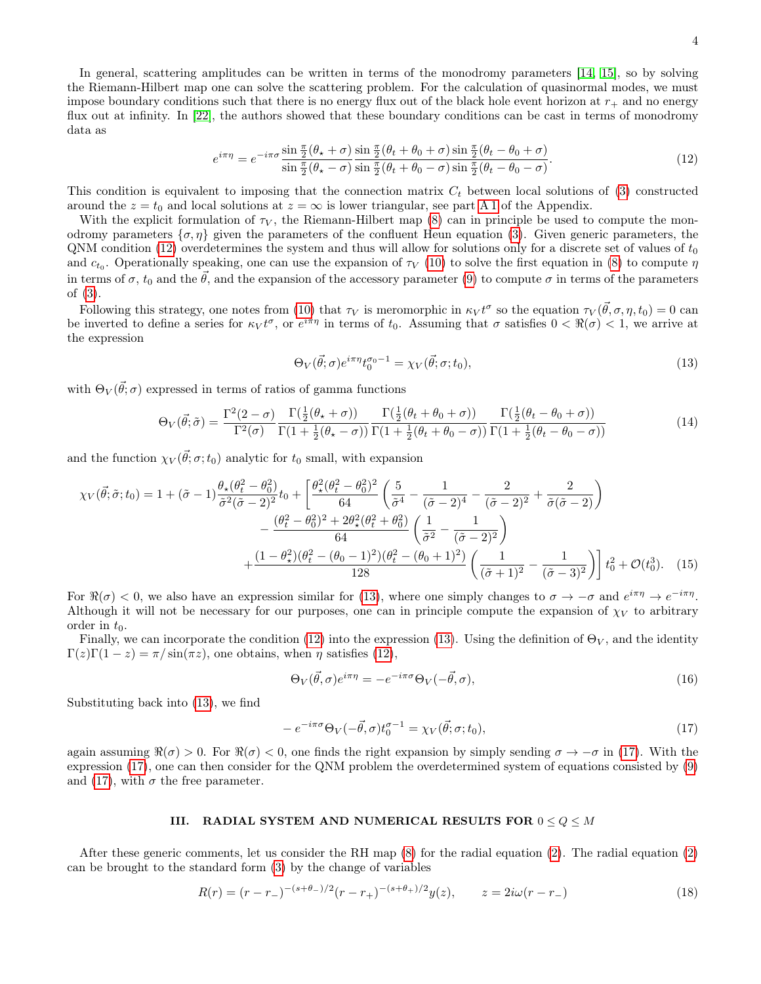4

In general, scattering amplitudes can be written in terms of the monodromy parameters [\[14,](#page-14-13) [15\]](#page-14-14), so by solving the Riemann-Hilbert map one can solve the scattering problem. For the calculation of quasinormal modes, we must impose boundary conditions such that there is no energy flux out of the black hole event horizon at  $r_{+}$  and no energy flux out at infinity. In [\[22\]](#page-15-3), the authors showed that these boundary conditions can be cast in terms of monodromy data as

<span id="page-3-1"></span>
$$
e^{i\pi\eta} = e^{-i\pi\sigma} \frac{\sin\frac{\pi}{2}(\theta_\star + \sigma)}{\sin\frac{\pi}{2}(\theta_\star - \sigma)} \frac{\sin\frac{\pi}{2}(\theta_t + \theta_0 + \sigma)\sin\frac{\pi}{2}(\theta_t - \theta_0 + \sigma)}{\sin\frac{\pi}{2}(\theta_t + \theta_0 - \sigma)\sin\frac{\pi}{2}(\theta_t - \theta_0 - \sigma)}.
$$
(12)

This condition is equivalent to imposing that the connection matrix  $C_t$  between local solutions of [\(3\)](#page-1-1) constructed around the  $z = t_0$  and local solutions at  $z = \infty$  is lower triangular, see part [A 1](#page-14-17) of the Appendix.

With the explicit formulation of  $\tau_V$ , the Riemann-Hilbert map [\(8\)](#page-2-0) can in principle be used to compute the monodromy parameters  $\{\sigma, \eta\}$  given the parameters of the confluent Heun equation [\(3\)](#page-1-1). Given generic parameters, the  $\alpha$  CNM condition [\(12\)](#page-3-1) overdetermines the system and thus will allow for solutions only for a discrete set of values of  $t_0$ and  $c_{t_0}$ . Operationally speaking, one can use the expansion of  $\tau_V$  [\(10\)](#page-2-1) to solve the first equation in [\(8\)](#page-2-0) to compute  $\eta$ in terms of  $\sigma$ ,  $t_0$  and the  $\vec{\theta}$ , and the expansion of the accessory parameter [\(9\)](#page-2-2) to compute  $\sigma$  in terms of the parameters of [\(3\)](#page-1-1).

Following this strategy, one notes from [\(10\)](#page-2-1) that  $\tau_V$  is meromorphic in  $\kappa_V t^{\sigma}$  so the equation  $\tau_V(\vec{\theta}, \sigma, \eta, t_0) = 0$  can be inverted to define a series for  $\kappa_V t^{\sigma}$ , or  $e^{i\pi\eta}$  in terms of  $t_0$ . Assuming that  $\sigma$  satisfies  $0 < \Re(\sigma) < 1$ , we arrive at the expression

<span id="page-3-2"></span>
$$
\Theta_V(\vec{\theta}; \sigma) e^{i\pi \eta} t_0^{\sigma_0 - 1} = \chi_V(\vec{\theta}; \sigma; t_0), \tag{13}
$$

with  $\Theta_V(\vec{\theta}; \sigma)$  expressed in terms of ratios of gamma functions

<span id="page-3-4"></span>
$$
\Theta_V(\vec{\theta};\tilde{\sigma}) = \frac{\Gamma^2(2-\sigma)}{\Gamma^2(\sigma)} \frac{\Gamma(\frac{1}{2}(\theta_\star + \sigma))}{\Gamma(1 + \frac{1}{2}(\theta_\star - \sigma))} \frac{\Gamma(\frac{1}{2}(\theta_t + \theta_0 + \sigma))}{\Gamma(1 + \frac{1}{2}(\theta_t + \theta_0 - \sigma))} \frac{\Gamma(\frac{1}{2}(\theta_t - \theta_0 + \sigma))}{\Gamma(1 + \frac{1}{2}(\theta_t - \theta_0 - \sigma))}
$$
(14)

and the function  $\chi_V(\vec{\theta}; \sigma; t_0)$  analytic for  $t_0$  small, with expansion

$$
\chi_V(\vec{\theta};\tilde{\sigma};t_0) = 1 + (\tilde{\sigma} - 1) \frac{\theta_\star(\theta_t^2 - \theta_0^2)}{\tilde{\sigma}^2(\tilde{\sigma} - 2)^2} t_0 + \left[ \frac{\theta_\star^2(\theta_t^2 - \theta_0^2)^2}{64} \left( \frac{5}{\tilde{\sigma}^4} - \frac{1}{(\tilde{\sigma} - 2)^4} - \frac{2}{(\tilde{\sigma} - 2)^2} + \frac{2}{\tilde{\sigma}(\tilde{\sigma} - 2)} \right) \right] - \frac{(\theta_t^2 - \theta_0^2)^2 + 2\theta_\star^2(\theta_t^2 + \theta_0^2)}{64} \left( \frac{1}{\tilde{\sigma}^2} - \frac{1}{(\tilde{\sigma} - 2)^2} \right) + \frac{(1 - \theta_\star^2)(\theta_t^2 - (\theta_0 - 1)^2)(\theta_t^2 - (\theta_0 + 1)^2)}{128} \left( \frac{1}{(\tilde{\sigma} + 1)^2} - \frac{1}{(\tilde{\sigma} - 3)^2} \right) t_0^2 + \mathcal{O}(t_0^3). \tag{15}
$$

For  $\Re(\sigma) < 0$ , we also have an expression similar for [\(13\)](#page-3-2), where one simply changes to  $\sigma \to -\sigma$  and  $e^{i\pi\eta} \to e^{-i\pi\eta}$ . Although it will not be necessary for our purposes, one can in principle compute the expansion of  $\chi_V$  to arbitrary order in  $t_0$ .

Finally, we can incorporate the condition [\(12\)](#page-3-1) into the expression [\(13\)](#page-3-2). Using the definition of  $\Theta_V$ , and the identity  $\Gamma(z)\Gamma(1-z) = \pi/\sin(\pi z)$ , one obtains, when  $\eta$  satisfies [\(12\)](#page-3-1),

$$
\Theta_V(\vec{\theta}, \sigma) e^{i\pi\eta} = -e^{-i\pi\sigma} \Theta_V(-\vec{\theta}, \sigma),\tag{16}
$$

Substituting back into [\(13\)](#page-3-2), we find

<span id="page-3-3"></span>
$$
-e^{-i\pi\sigma}\Theta_V(-\vec{\theta},\sigma)t_0^{\sigma-1} = \chi_V(\vec{\theta};\sigma;t_0),\tag{17}
$$

again assuming  $\Re(\sigma) > 0$ . For  $\Re(\sigma) < 0$ , one finds the right expansion by simply sending  $\sigma \to -\sigma$  in [\(17\)](#page-3-3). With the expression [\(17\)](#page-3-3), one can then consider for the QNM problem the overdetermined system of equations consisted by [\(9\)](#page-2-2) and [\(17\)](#page-3-3), with  $\sigma$  the free parameter.

### <span id="page-3-0"></span>III. RADIAL SYSTEM AND NUMERICAL RESULTS FOR  $0 \le Q \le M$

After these generic comments, let us consider the RH map [\(8\)](#page-2-0) for the radial equation [\(2\)](#page-0-2). The radial equation [\(2\)](#page-0-2) can be brought to the standard form [\(3\)](#page-1-1) by the change of variables

$$
R(r) = (r - r_{-})^{-(s + \theta_{-})/2} (r - r_{+})^{-(s + \theta_{+})/2} y(z), \qquad z = 2i\omega(r - r_{-})
$$
\n(18)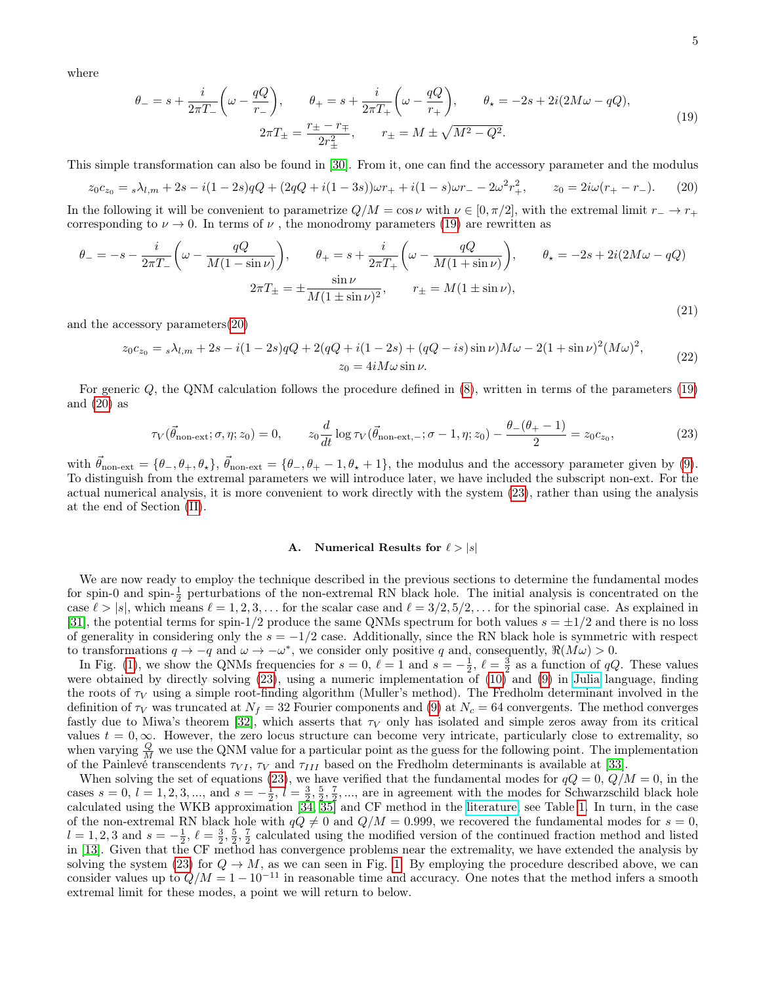where

<span id="page-4-0"></span>
$$
\theta_{-} = s + \frac{i}{2\pi T_{-}} \left( \omega - \frac{qQ}{r_{-}} \right), \qquad \theta_{+} = s + \frac{i}{2\pi T_{+}} \left( \omega - \frac{qQ}{r_{+}} \right), \qquad \theta_{\star} = -2s + 2i(2M\omega - qQ),
$$
  

$$
2\pi T_{\pm} = \frac{r_{\pm} - r_{\mp}}{2r_{\pm}^{2}}, \qquad r_{\pm} = M \pm \sqrt{M^{2} - Q^{2}}.
$$
 (19)

This simple transformation can also be found in [\[30\]](#page-15-10). From it, one can find the accessory parameter and the modulus

<span id="page-4-1"></span>
$$
z_0 c_{z_0} = {}_s\lambda_{l,m} + 2s - i(1 - 2s)qQ + (2qQ + i(1 - 3s))\omega r_+ + i(1 - s)\omega r_- - 2\omega^2 r_+^2, \qquad z_0 = 2i\omega(r_+ - r_-). \tag{20}
$$

In the following it will be convenient to parametrize  $Q/M = \cos \nu$  with  $\nu \in [0, \pi/2]$ , with the extremal limit  $r_-\to r_+$ corresponding to  $\nu \to 0$ . In terms of  $\nu$ , the monodromy parameters [\(19\)](#page-4-0) are rewritten as

<span id="page-4-3"></span>
$$
\theta_{-} = -s - \frac{i}{2\pi T_{-}} \left( \omega - \frac{qQ}{M(1 - \sin \nu)} \right), \qquad \theta_{+} = s + \frac{i}{2\pi T_{+}} \left( \omega - \frac{qQ}{M(1 + \sin \nu)} \right), \qquad \theta_{\star} = -2s + 2i(2M\omega - qQ)
$$

$$
2\pi T_{\pm} = \pm \frac{\sin \nu}{M(1 \pm \sin \nu)^{2}}, \qquad r_{\pm} = M(1 \pm \sin \nu), \tag{21}
$$

and the accessory parameters[\(20\)](#page-4-1)

<span id="page-4-4"></span>
$$
z_0 c_{z_0} = {}_s\lambda_{l,m} + 2s - i(1 - 2s)qQ + 2(qQ + i(1 - 2s) + (qQ - is)\sin \nu)M\omega - 2(1 + \sin \nu)^2(M\omega)^2,
$$
  
\n
$$
z_0 = 4iM\omega \sin \nu.
$$
\n(22)

For generic Q, the QNM calculation follows the procedure defined in [\(8\)](#page-2-0), written in terms of the parameters [\(19\)](#page-4-0) and  $(20)$  as

<span id="page-4-2"></span>
$$
\tau_V(\vec{\theta}_{\text{non-ext}}; \sigma, \eta; z_0) = 0, \qquad z_0 \frac{d}{dt} \log \tau_V(\vec{\theta}_{\text{non-ext}, -}; \sigma - 1, \eta; z_0) - \frac{\theta_-(\theta_+ - 1)}{2} = z_0 c_{z_0},\tag{23}
$$

with  $\vec{\theta}_{non-ext} = {\theta_-, \theta_+, \theta_*}, \vec{\theta}_{non-ext} = {\theta_-, \theta_+ - 1, \theta_* + 1},$  the modulus and the accessory parameter given by [\(9\)](#page-2-2). To distinguish from the extremal parameters we will introduce later, we have included the subscript non-ext. For the actual numerical analysis, it is more convenient to work directly with the system [\(23\)](#page-4-2), rather than using the analysis at the end of Section [\(II\)](#page-1-0).

# A. Numerical Results for  $\ell > |s|$

We are now ready to employ the technique described in the previous sections to determine the fundamental modes for spin-0 and spin- $\frac{1}{2}$  perturbations of the non-extremal RN black hole. The initial analysis is concentrated on the case  $\ell > |s|$ , which means  $\ell = 1, 2, 3, \ldots$  for the scalar case and  $\ell = 3/2, 5/2, \ldots$  for the spinorial case. As explained in [\[31\]](#page-15-11), the potential terms for spin-1/2 produce the same QNMs spectrum for both values  $s = \pm 1/2$  and there is no loss of generality in considering only the  $s = -1/2$  case. Additionally, since the RN black hole is symmetric with respect to transformations  $q \to -q$  and  $\omega \to -\omega^*$ , we consider only positive q and, consequently,  $\Re(M\omega) > 0$ .

In Fig. [\(1\)](#page-5-0), we show the QNMs frequencies for  $s = 0$ ,  $\ell = 1$  and  $s = -\frac{1}{2}$ ,  $\ell = \frac{3}{2}$  as a function of qQ. These values were obtained by directly solving [\(23\)](#page-4-2), using a numeric implementation of [\(10\)](#page-2-1) and [\(9\)](#page-2-2) in [Julia](http://julialang.org) language, finding the roots of  $\tau_V$  using a simple root-finding algorithm (Muller's method). The Fredholm determinant involved in the definition of  $\tau_V$  was truncated at  $N_f = 32$  Fourier components and [\(9\)](#page-2-2) at  $N_c = 64$  convergents. The method converges fastly due to Miwa's theorem [\[32\]](#page-15-12), which asserts that  $\tau_V$  only has isolated and simple zeros away from its critical values  $t = 0, \infty$ . However, the zero locus structure can become very intricate, particularly close to extremality, so when varying  $\frac{Q}{M}$  we use the QNM value for a particular point as the guess for the following point. The implementation of the Painlevé transcendents  $\tau_{VI}$ ,  $\tau_V$  and  $\tau_{III}$  based on the Fredholm determinants is available at [\[33\]](#page-15-13).

When solving the set of equations [\(23\)](#page-4-2), we have verified that the fundamental modes for  $qQ = 0$ ,  $Q/M = 0$ , in the cases  $s = 0, l = 1, 2, 3, \dots$ , and  $s = -\frac{1}{2}, l = \frac{3}{2}, \frac{5}{2}, \frac{7}{2}, \dots$ , are in agreement with the modes for Schwarzschild black hole calculated using the WKB approximation [\[34,](#page-15-14) [35\]](#page-15-15) and CF method in the [literature,](https://pages.jh.edu/eberti2/ringdown/) see Table [1.](#page-5-0) In turn, in the case of the non-extremal RN black hole with  $qQ \neq 0$  and  $Q/M = 0.999$ , we recovered the fundamental modes for  $s = 0$ ,  $l = 1, 2, 3$  and  $s = -\frac{1}{2}, \ell = \frac{3}{2}, \frac{5}{2}, \frac{7}{2}$  calculated using the modified version of the continued fraction method and listed in [\[13\]](#page-14-12). Given that the CF method has convergence problems near the extremality, we have extended the analysis by solving the system [\(23\)](#page-4-2) for  $Q \to M$ , as we can seen in Fig. [1.](#page-5-0) By employing the procedure described above, we can consider values up to  $Q/M = 1 - 10^{-11}$  in reasonable time and accuracy. One notes that the method infers a smooth extremal limit for these modes, a point we will return to below.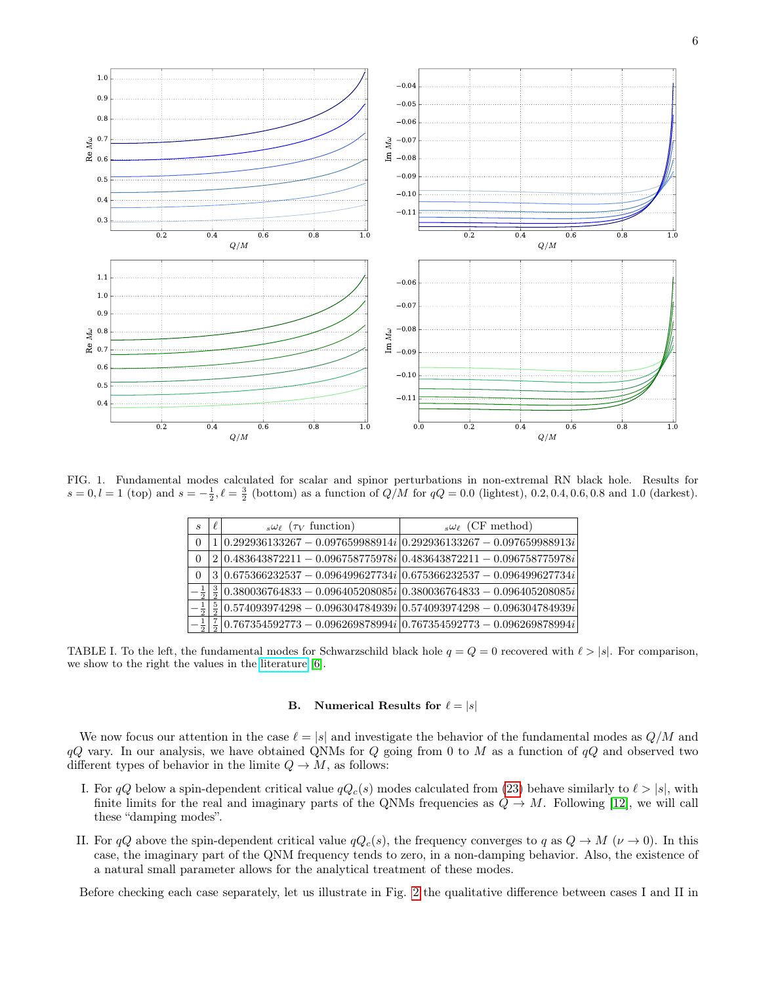

<span id="page-5-0"></span>FIG. 1. Fundamental modes calculated for scalar and spinor perturbations in non-extremal RN black hole. Results for  $s = 0, l = 1$  (top) and  $s = -\frac{1}{2}, l = \frac{3}{2}$  (bottom) as a function of  $Q/M$  for  $qQ = 0.0$  (lightest), 0.2, 0.4, 0.6, 0.8 and 1.0 (darkest).

| S | $s\omega_{\ell}$ ( $\tau_V$ function) | $s\omega_{\ell}$ (CF method)                                                                  |
|---|---------------------------------------|-----------------------------------------------------------------------------------------------|
|   |                                       | $1 0.292936133267 - 0.097659988914i 0.292936133267 - 0.097659988913i $                        |
| 0 |                                       | $2 0.483643872211 - 0.096758775978i 0.483643872211 - 0.096758775978i $                        |
|   |                                       | $3 0.675366232537 - 0.096499627734i 0.675366232537 - 0.096499627734i $                        |
|   |                                       | $\frac{3}{2}$ 0.380036764833 - 0.096405208085i 0.380036764833 - 0.096405208085i               |
|   |                                       | $\frac{5}{2}$  0.574093974298 - 0.096304784939 $i$  0.574093974298 - 0.096304784939 $i$       |
|   |                                       | $\frac{7}{4} \sqrt{6.767354592773 - 0.096269878994i} \sqrt{0.767354592773 - 0.096269878994i}$ |

TABLE I. To the left, the fundamental modes for Schwarzschild black hole  $q = Q = 0$  recovered with  $l > |s|$ . For comparison, we show to the right the values in the [literature](https://pages.jh.edu/eberti2/ringdown/) [\[6\]](#page-14-5).

### B. Numerical Results for  $\ell = |s|$

We now focus our attention in the case  $\ell = |s|$  and investigate the behavior of the fundamental modes as  $Q/M$  and  $qQ$  vary. In our analysis, we have obtained QNMs for  $Q$  going from 0 to  $M$  as a function of  $qQ$  and observed two different types of behavior in the limite  $Q \to M$ , as follows:

- I. For qQ below a spin-dependent critical value  $qQ_c(s)$  modes calculated from [\(23\)](#page-4-2) behave similarly to  $\ell > |s|$ , with finite limits for the real and imaginary parts of the QNMs frequencies as  $Q \to M$ . Following [\[12\]](#page-14-11), we will call these "damping modes".
- <span id="page-5-1"></span>II. For  $qQ$  above the spin-dependent critical value  $qQ_c(s)$ , the frequency converges to  $q$  as  $Q \to M$  ( $\nu \to 0$ ). In this case, the imaginary part of the QNM frequency tends to zero, in a non-damping behavior. Also, the existence of a natural small parameter allows for the analytical treatment of these modes.

Before checking each case separately, let us illustrate in Fig. [2](#page-6-0) the qualitative difference between cases I and II in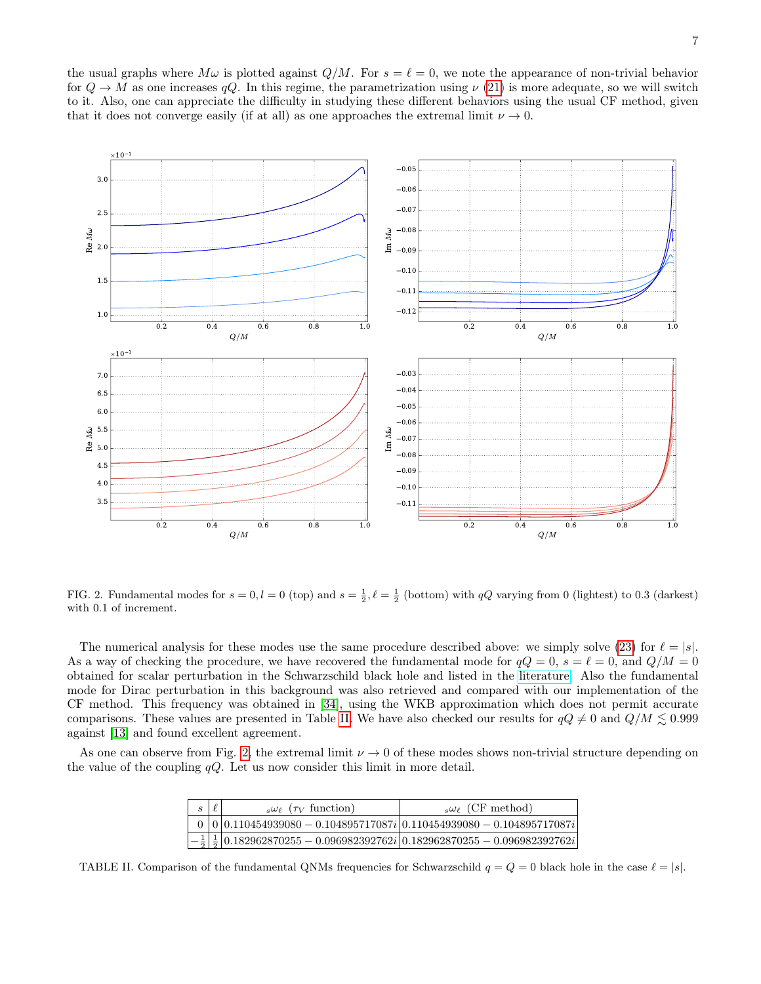

<span id="page-6-0"></span>FIG. 2. Fundamental modes for  $s = 0, l = 0$  (top) and  $s = \frac{1}{2}, \ell = \frac{1}{2}$  (bottom) with  $qQ$  varying from 0 (lightest) to 0.3 (darkest) with 0.1 of increment.

The numerical analysis for these modes use the same procedure described above: we simply solve [\(23\)](#page-4-2) for  $\ell = |s|$ . As a way of checking the procedure, we have recovered the fundamental mode for  $qQ = 0$ ,  $s = \ell = 0$ , and  $Q/M = 0$ obtained for scalar perturbation in the Schwarzschild black hole and listed in the [literature.](https://pages.jh.edu/eberti2/ringdown/) Also the fundamental mode for Dirac perturbation in this background was also retrieved and compared with our implementation of the CF method. This frequency was obtained in [\[34\]](#page-15-14), using the WKB approximation which does not permit accurate comparisons. These values are presented in Table [II.](#page-6-1) We have also checked our results for  $qQ \neq 0$  and  $Q/M \leq 0.999$ against [\[13\]](#page-14-12) and found excellent agreement.

As one can observe from Fig. [2,](#page-6-0) the extremal limit  $\nu \to 0$  of these modes shows non-trivial structure depending on the value of the coupling  $qQ$ . Let us now consider this limit in more detail.

| $\mathcal{S}_{\mathcal{S}}$ | $s\omega_{\ell}$ ( $\tau_V$ function) | $s\omega_{\ell}$ (CF method)                                                                                           |
|-----------------------------|---------------------------------------|------------------------------------------------------------------------------------------------------------------------|
|                             |                                       | $0 0 0.110454939080 - 0.104895717087i 0.110454939080 - 0.104895717087i $                                               |
|                             |                                       | $\left -\frac{1}{2}\right \frac{1}{2}\left 0.182962870255-0.096982392762i\right 0.182962870255-0.096982392762i\right $ |

<span id="page-6-1"></span>TABLE II. Comparison of the fundamental QNMs frequencies for Schwarzschild  $q = Q = 0$  black hole in the case  $\ell = |s|$ .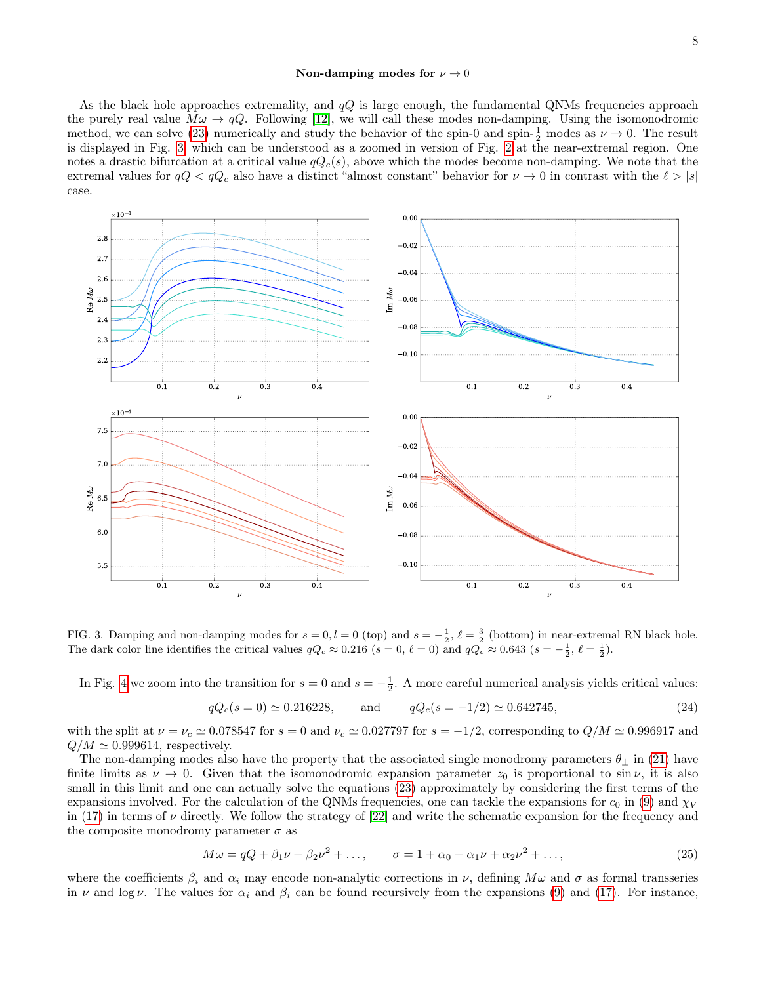As the black hole approaches extremality, and  $qQ$  is large enough, the fundamental QNMs frequencies approach the purely real value  $M\omega \to qQ$ . Following [\[12\]](#page-14-11), we will call these modes non-damping. Using the isomonodromic method, we can solve [\(23\)](#page-4-2) numerically and study the behavior of the spin-0 and spin- $\frac{1}{2}$  modes as  $\nu \to 0$ . The result is displayed in Fig. [3,](#page-7-0) which can be understood as a zoomed in version of Fig. [2](#page-6-0) at the near-extremal region. One notes a drastic bifurcation at a critical value  $qQ_c(s)$ , above which the modes become non-damping. We note that the extremal values for  $qQ < qQ_c$  also have a distinct "almost constant" behavior for  $\nu \to 0$  in contrast with the  $\ell > |s|$ case.



<span id="page-7-0"></span>FIG. 3. Damping and non-damping modes for  $s = 0, l = 0$  (top) and  $s = -\frac{1}{2}, \ell = \frac{3}{2}$  (bottom) in near-extremal RN black hole. The dark color line identifies the critical values  $qQ_c \approx 0.216$  ( $s = 0, \ell = 0$ ) and  $qQ_c \approx 0.643$  ( $s = -\frac{1}{2}, \ell = \frac{1}{2}$ ).

In Fig. [4](#page-8-0) we zoom into the transition for  $s = 0$  and  $s = -\frac{1}{2}$ . A more careful numerical analysis yields critical values:

<span id="page-7-1"></span>
$$
qQ_c(s=0) \approx 0.216228
$$
, and  $qQ_c(s=-1/2) \approx 0.642745$ , (24)

with the split at  $\nu = \nu_c \simeq 0.078547$  for  $s = 0$  and  $\nu_c \simeq 0.027797$  for  $s = -1/2$ , corresponding to  $Q/M \simeq 0.996917$  and  $Q/M \simeq 0.999614$ , respectively.

The non-damping modes also have the property that the associated single monodromy parameters  $\theta_+$  in [\(21\)](#page-4-3) have finite limits as  $\nu \to 0$ . Given that the isomonodromic expansion parameter  $z_0$  is proportional to sin  $\nu$ , it is also small in this limit and one can actually solve the equations  $(23)$  approximately by considering the first terms of the expansions involved. For the calculation of the QNMs frequencies, one can tackle the expansions for  $c_0$  in [\(9\)](#page-2-2) and  $\chi_V$ in [\(17\)](#page-3-3) in terms of  $\nu$  directly. We follow the strategy of [\[22\]](#page-15-3) and write the schematic expansion for the frequency and the composite monodromy parameter  $\sigma$  as

$$
M\omega = qQ + \beta_1 \nu + \beta_2 \nu^2 + \dots, \qquad \sigma = 1 + \alpha_0 + \alpha_1 \nu + \alpha_2 \nu^2 + \dots,
$$
 (25)

where the coefficients  $\beta_i$  and  $\alpha_i$  may encode non-analytic corrections in  $\nu$ , defining  $M\omega$  and  $\sigma$  as formal transseries in  $\nu$  and log  $\nu$ . The values for  $\alpha_i$  and  $\beta_i$  can be found recursively from the expansions [\(9\)](#page-2-2) and [\(17\)](#page-3-3). For instance,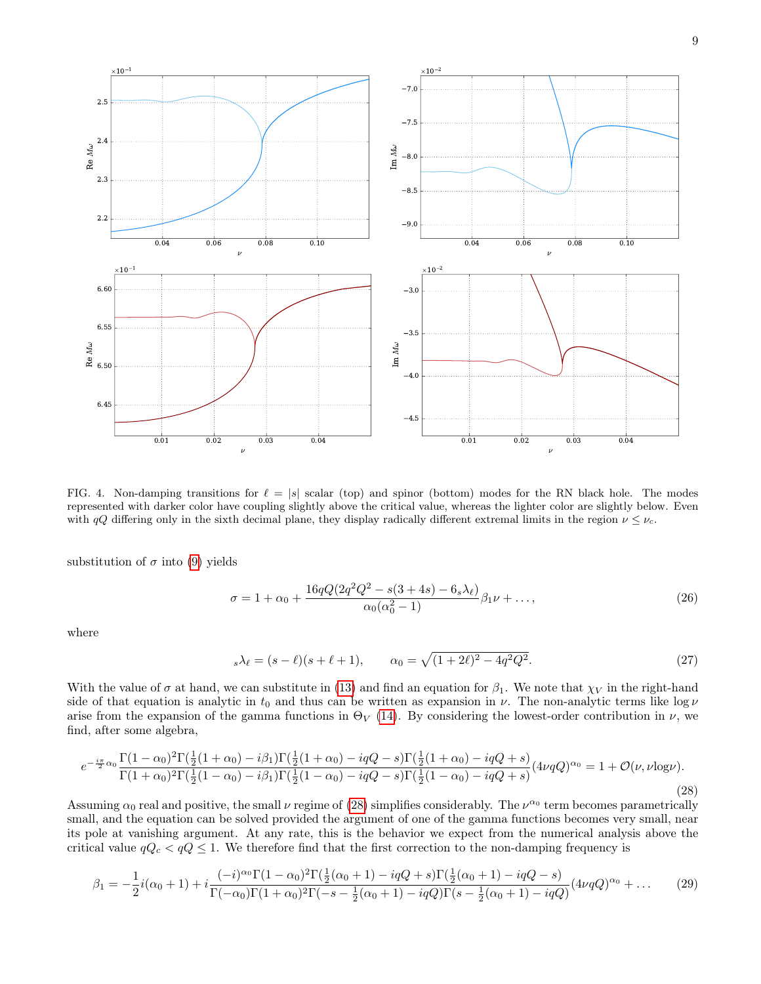

<span id="page-8-0"></span>FIG. 4. Non-damping transitions for  $\ell = |s|$  scalar (top) and spinor (bottom) modes for the RN black hole. The modes represented with darker color have coupling slightly above the critical value, whereas the lighter color are slightly below. Even with  $qQ$  differing only in the sixth decimal plane, they display radically different extremal limits in the region  $\nu \leq \nu_c$ .

substitution of  $\sigma$  into [\(9\)](#page-2-2) yields

$$
\sigma = 1 + \alpha_0 + \frac{16qQ(2q^2Q^2 - s(3+4s) - 6_s\lambda_\ell)}{\alpha_0(\alpha_0^2 - 1)}\beta_1\nu + ..., \qquad (26)
$$

where

$$
s\lambda_{\ell} = (s - \ell)(s + \ell + 1), \qquad \alpha_0 = \sqrt{(1 + 2\ell)^2 - 4q^2 Q^2}.
$$
 (27)

With the value of  $\sigma$  at hand, we can substitute in [\(13\)](#page-3-2) and find an equation for  $\beta_1$ . We note that  $\chi_V$  in the right-hand side of that equation is analytic in  $t_0$  and thus can be written as expansion in  $\nu$ . The non-analytic terms like  $\log \nu$ arise from the expansion of the gamma functions in  $\Theta_V$  [\(14\)](#page-3-4). By considering the lowest-order contribution in  $\nu$ , we find, after some algebra,

<span id="page-8-1"></span>
$$
e^{-\frac{i\pi}{2}\alpha_0}\frac{\Gamma(1-\alpha_0)^2\Gamma(\frac{1}{2}(1+\alpha_0)-i\beta_1)\Gamma(\frac{1}{2}(1+\alpha_0)-iqQ-s)\Gamma(\frac{1}{2}(1+\alpha_0)-iqQ+s)}{\Gamma(1+\alpha_0)^2\Gamma(\frac{1}{2}(1-\alpha_0)-i\beta_1)\Gamma(\frac{1}{2}(1-\alpha_0)-iqQ-s)\Gamma(\frac{1}{2}(1-\alpha_0)-iqQ+s)}(4\nu qQ)^{\alpha_0} = 1 + \mathcal{O}(\nu, \nu \log \nu). \tag{28}
$$

Assuming  $\alpha_0$  real and positive, the small  $\nu$  regime of [\(28\)](#page-8-1) simplifies considerably. The  $\nu^{\alpha_0}$  term becomes parametrically small, and the equation can be solved provided the argument of one of the gamma functions becomes very small, near its pole at vanishing argument. At any rate, this is the behavior we expect from the numerical analysis above the critical value  $qQ_c < qQ \leq 1$ . We therefore find that the first correction to the non-damping frequency is

$$
\beta_1 = -\frac{1}{2}i(\alpha_0 + 1) + i\frac{(-i)^{\alpha_0}\Gamma(1 - \alpha_0)^2\Gamma(\frac{1}{2}(\alpha_0 + 1) - iqQ + s)\Gamma(\frac{1}{2}(\alpha_0 + 1) - iqQ - s)}{\Gamma(-\alpha_0)\Gamma(1 + \alpha_0)^2\Gamma(-s - \frac{1}{2}(\alpha_0 + 1) - iqQ)\Gamma(s - \frac{1}{2}(\alpha_0 + 1) - iqQ)}(4\nu qQ)^{\alpha_0} + \dots
$$
\n(29)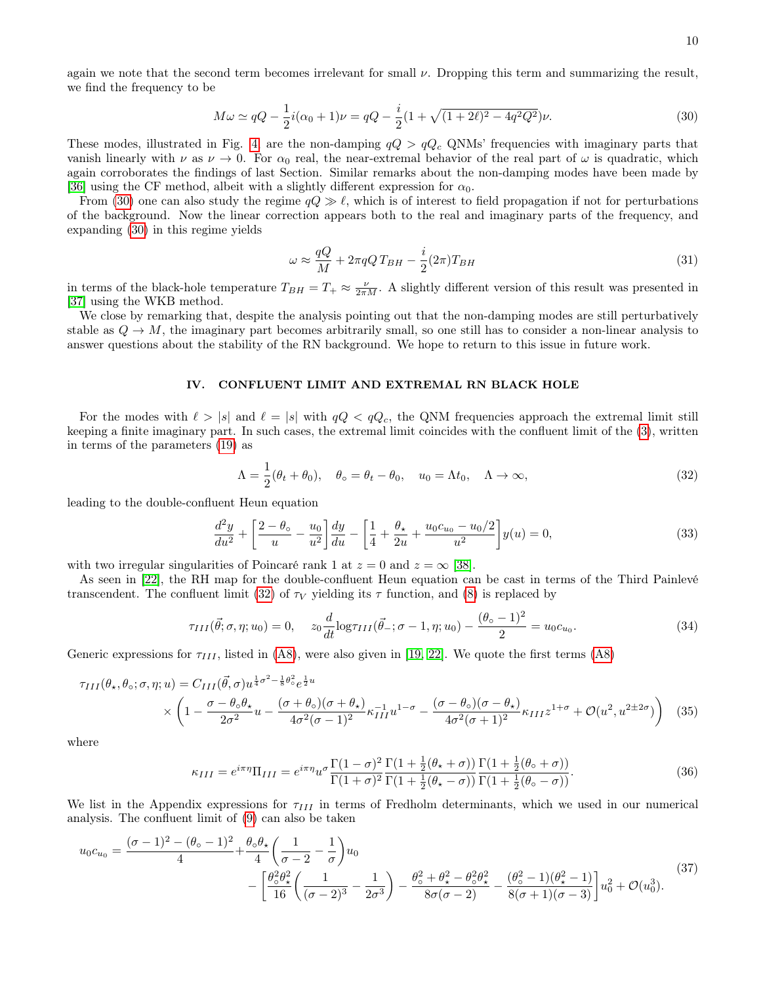again we note that the second term becomes irrelevant for small  $\nu$ . Dropping this term and summarizing the result, we find the frequency to be

<span id="page-9-1"></span>
$$
M\omega \simeq qQ - \frac{1}{2}i(\alpha_0 + 1)\nu = qQ - \frac{i}{2}(1 + \sqrt{(1 + 2\ell)^2 - 4q^2Q^2})\nu.
$$
 (30)

These modes, illustrated in Fig. [4,](#page-8-0) are the non-damping  $qQ > qQ_c$  QNMs' frequencies with imaginary parts that vanish linearly with  $\nu$  as  $\nu \to 0$ . For  $\alpha_0$  real, the near-extremal behavior of the real part of  $\omega$  is quadratic, which again corroborates the findings of last Section. Similar remarks about the non-damping modes have been made by [\[36\]](#page-15-16) using the CF method, albeit with a slightly different expression for  $\alpha_0$ .

From [\(30\)](#page-9-1) one can also study the regime  $qQ \gg \ell$ , which is of interest to field propagation if not for perturbations of the background. Now the linear correction appears both to the real and imaginary parts of the frequency, and expanding [\(30\)](#page-9-1) in this regime yields

$$
\omega \approx \frac{qQ}{M} + 2\pi qQT_{BH} - \frac{i}{2}(2\pi)T_{BH}
$$
\n(31)

in terms of the black-hole temperature  $T_{BH} = T_+ \approx \frac{\nu}{2\pi M}$ . A slightly different version of this result was presented in [\[37\]](#page-15-17) using the WKB method.

We close by remarking that, despite the analysis pointing out that the non-damping modes are still perturbatively stable as  $Q \to M$ , the imaginary part becomes arbitrarily small, so one still has to consider a non-linear analysis to answer questions about the stability of the RN background. We hope to return to this issue in future work.

### <span id="page-9-0"></span>IV. CONFLUENT LIMIT AND EXTREMAL RN BLACK HOLE

For the modes with  $\ell > |s|$  and  $\ell = |s|$  with  $qQ < qQ_c$ , the QNM frequencies approach the extremal limit still keeping a finite imaginary part. In such cases, the extremal limit coincides with the confluent limit of the [\(3\)](#page-1-1), written in terms of the parameters [\(19\)](#page-4-0) as

<span id="page-9-2"></span>
$$
\Lambda = \frac{1}{2}(\theta_t + \theta_0), \quad \theta_\circ = \theta_t - \theta_0, \quad u_0 = \Lambda t_0, \quad \Lambda \to \infty,
$$
\n(32)

leading to the double-confluent Heun equation

$$
\frac{d^2y}{du^2} + \left[\frac{2-\theta_0}{u} - \frac{u_0}{u^2}\right]\frac{dy}{du} - \left[\frac{1}{4} + \frac{\theta_\star}{2u} + \frac{u_0c_{u_0} - u_0/2}{u^2}\right]y(u) = 0,\tag{33}
$$

with two irregular singularities of Poincaré rank 1 at  $z = 0$  and  $z = \infty$  [\[38\]](#page-15-18).

As seen in [\[22\]](#page-15-3), the RH map for the double-confluent Heun equation can be cast in terms of the Third Painlevé transcendent. The confluent limit [\(32\)](#page-9-2) of  $\tau_V$  yielding its  $\tau$  function, and [\(8\)](#page-2-0) is replaced by

<span id="page-9-3"></span>
$$
\tau_{III}(\vec{\theta}; \sigma, \eta; u_0) = 0, \quad z_0 \frac{d}{dt} \log \tau_{III}(\vec{\theta}_-; \sigma - 1, \eta; u_0) - \frac{(\theta_0 - 1)^2}{2} = u_0 c_{u_0}.
$$
\n(34)

Generic expressions for  $\tau_{III}$ , listed in [\(A8\)](#page-13-0), were also given in [\[19,](#page-15-0) [22\]](#page-15-3). We quote the first terms (A8)

$$
\tau_{III}(\theta_{\star}, \theta_{\circ}; \sigma, \eta; u) = C_{III}(\vec{\theta}, \sigma) u^{\frac{1}{4}\sigma^2 - \frac{1}{8}\theta_{\circ}^2} e^{\frac{1}{2}u}
$$
  
 
$$
\times \left(1 - \frac{\sigma - \theta_{\circ}\theta_{\star}}{2\sigma^2}u - \frac{(\sigma + \theta_{\circ})(\sigma + \theta_{\star})}{4\sigma^2(\sigma - 1)^2} \kappa_{III}^{-1} u^{1-\sigma} - \frac{(\sigma - \theta_{\circ})(\sigma - \theta_{\star})}{4\sigma^2(\sigma + 1)^2} \kappa_{III} z^{1+\sigma} + \mathcal{O}(u^2, u^{2\pm 2\sigma})\right) (35)
$$

where

<span id="page-9-5"></span><span id="page-9-4"></span>
$$
\kappa_{III} = e^{i\pi\eta} \Pi_{III} = e^{i\pi\eta} u^{\sigma} \frac{\Gamma(1-\sigma)^2}{\Gamma(1+\sigma)^2} \frac{\Gamma(1+\frac{1}{2}(\theta_\star+\sigma))}{\Gamma(1+\frac{1}{2}(\theta_\star-\sigma))} \frac{\Gamma(1+\frac{1}{2}(\theta_\circ+\sigma))}{\Gamma(1+\frac{1}{2}(\theta_\circ-\sigma))}.
$$
\n(36)

We list in the Appendix expressions for  $\tau_{III}$  in terms of Fredholm determinants, which we used in our numerical analysis. The confluent limit of [\(9\)](#page-2-2) can also be taken

$$
u_0 c_{u_0} = \frac{(\sigma - 1)^2 - (\theta_0 - 1)^2}{4} + \frac{\theta_0 \theta_\star}{4} \left( \frac{1}{\sigma - 2} - \frac{1}{\sigma} \right) u_0
$$
  
 
$$
- \left[ \frac{\theta_0^2 \theta_\star^2}{16} \left( \frac{1}{(\sigma - 2)^3} - \frac{1}{2\sigma^3} \right) - \frac{\theta_0^2 + \theta_\star^2 - \theta_0^2 \theta_\star^2}{8\sigma(\sigma - 2)} - \frac{(\theta_0^2 - 1)(\theta_\star^2 - 1)}{8(\sigma + 1)(\sigma - 3)} \right] u_0^2 + \mathcal{O}(u_0^3).
$$
  
(37)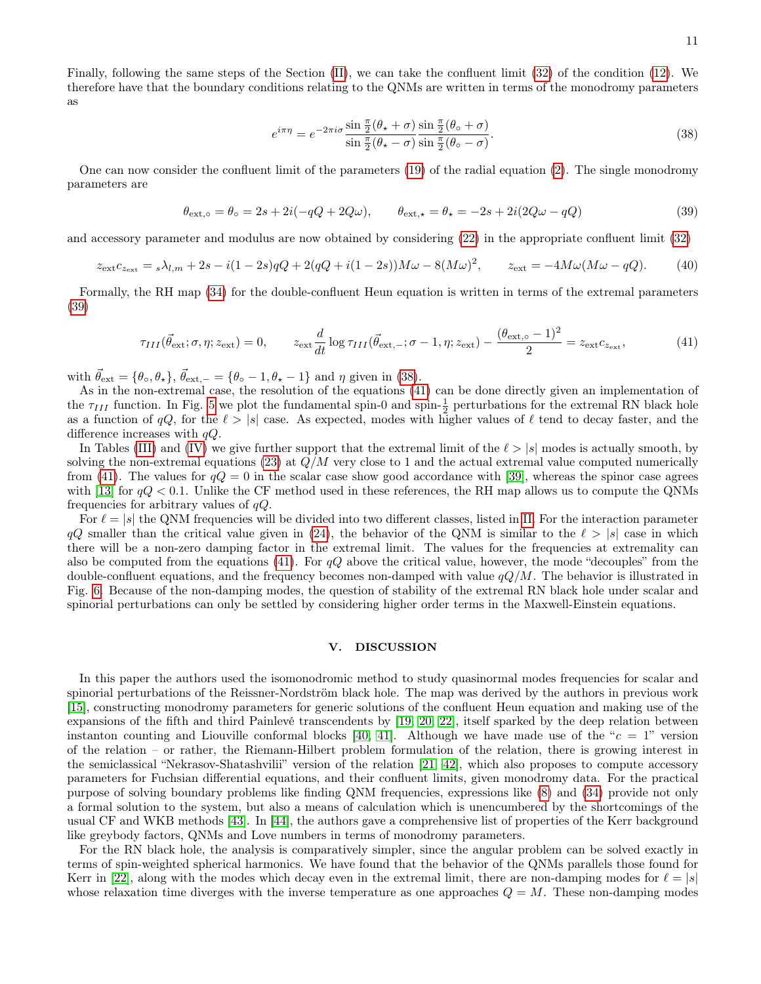11

Finally, following the same steps of the Section [\(II\)](#page-1-0), we can take the confluent limit [\(32\)](#page-9-2) of the condition [\(12\)](#page-3-1). We therefore have that the boundary conditions relating to the QNMs are written in terms of the monodromy parameters as

<span id="page-10-2"></span>
$$
e^{i\pi\eta} = e^{-2\pi i\sigma} \frac{\sin\frac{\pi}{2}(\theta_\star + \sigma)}{\sin\frac{\pi}{2}(\theta_\star - \sigma)} \frac{\sin\frac{\pi}{2}(\theta_\circ + \sigma)}{\sin\frac{\pi}{2}(\theta_\circ - \sigma)}.
$$
\n(38)

One can now consider the confluent limit of the parameters [\(19\)](#page-4-0) of the radial equation [\(2\)](#page-0-2). The single monodromy parameters are

<span id="page-10-1"></span>
$$
\theta_{\text{ext},\circ} = \theta_{\circ} = 2s + 2i(-qQ + 2Q\omega), \qquad \theta_{\text{ext},\star} = \theta_{\star} = -2s + 2i(2Q\omega - qQ) \tag{39}
$$

and accessory parameter and modulus are now obtained by considering [\(22\)](#page-4-4) in the appropriate confluent limit [\(32\)](#page-9-2)

$$
z_{\rm ext}c_{z_{\rm ext}} = {}_s\lambda_{l,m} + 2s - i(1-2s)qQ + 2(qQ + i(1-2s))M\omega - 8(M\omega)^2, \qquad z_{\rm ext} = -4M\omega(M\omega - qQ). \tag{40}
$$

Formally, the RH map [\(34\)](#page-9-3) for the double-confluent Heun equation is written in terms of the extremal parameters [\(39\)](#page-10-1)

<span id="page-10-3"></span>
$$
\tau_{III}(\vec{\theta}_{\rm ext}; \sigma, \eta; z_{\rm ext}) = 0, \qquad z_{\rm ext} \frac{d}{dt} \log \tau_{III}(\vec{\theta}_{\rm ext,-}; \sigma - 1, \eta; z_{\rm ext}) - \frac{(\theta_{\rm ext, \circ} - 1)^2}{2} = z_{\rm ext} c_{z_{\rm ext}}, \tag{41}
$$

with  $\vec{\theta}_{ext} = {\theta_{\circ}, \theta_{\star}}$ ,  $\vec{\theta}_{ext,-} = {\theta_{\circ} - 1, \theta_{\star} - 1}$  and  $\eta$  given in [\(38\)](#page-10-2).

As in the non-extremal case, the resolution of the equations [\(41\)](#page-10-3) can be done directly given an implementation of the  $\tau_{III}$  function. In Fig. [5](#page-11-0) we plot the fundamental spin-0 and spin- $\frac{1}{2}$  perturbations for the extremal RN black hole as a function of  $qQ$ , for the  $\ell > |s|$  case. As expected, modes with higher values of  $\ell$  tend to decay faster, and the difference increases with  $qQ$ .

In Tables [\(III\)](#page-12-2) and [\(IV\)](#page-13-1) we give further support that the extremal limit of the  $\ell > |s|$  modes is actually smooth, by solving the non-extremal equations [\(23\)](#page-4-2) at  $Q/M$  very close to 1 and the actual extremal value computed numerically from [\(41\)](#page-10-3). The values for  $qQ = 0$  in the scalar case show good accordance with [\[39\]](#page-15-19), whereas the spinor case agrees with [\[13\]](#page-14-12) for  $qQ < 0.1$ . Unlike the CF method used in these references, the RH map allows us to compute the QNMs frequencies for arbitrary values of  $qQ$ .

For  $\ell = |s|$  the QNM frequencies will be divided into two different classes, listed in [II.](#page-5-1) For the interaction parameter  $qQ$  smaller than the critical value given in [\(24\)](#page-7-1), the behavior of the QNM is similar to the  $\ell > |s|$  case in which there will be a non-zero damping factor in the extremal limit. The values for the frequencies at extremality can also be computed from the equations [\(41\)](#page-10-3). For  $qQ$  above the critical value, however, the mode "decouples" from the double-confluent equations, and the frequency becomes non-damped with value  $qQ/M$ . The behavior is illustrated in Fig. [6.](#page-12-3) Because of the non-damping modes, the question of stability of the extremal RN black hole under scalar and spinorial perturbations can only be settled by considering higher order terms in the Maxwell-Einstein equations.

#### <span id="page-10-0"></span>V. DISCUSSION

In this paper the authors used the isomonodromic method to study quasinormal modes frequencies for scalar and spinorial perturbations of the Reissner-Nordström black hole. The map was derived by the authors in previous work [\[15\]](#page-14-14), constructing monodromy parameters for generic solutions of the confluent Heun equation and making use of the expansions of the fifth and third Painlevé transcendents by [\[19,](#page-15-0) [20,](#page-15-1) [22\]](#page-15-3), itself sparked by the deep relation between instanton counting and Liouville conformal blocks [\[40,](#page-15-20) [41\]](#page-15-21). Although we have made use of the " $c = 1$ " version of the relation – or rather, the Riemann-Hilbert problem formulation of the relation, there is growing interest in the semiclassical "Nekrasov-Shatashvilii" version of the relation [\[21,](#page-15-2) [42\]](#page-15-22), which also proposes to compute accessory parameters for Fuchsian differential equations, and their confluent limits, given monodromy data. For the practical purpose of solving boundary problems like finding QNM frequencies, expressions like [\(8\)](#page-2-0) and [\(34\)](#page-9-3) provide not only a formal solution to the system, but also a means of calculation which is unencumbered by the shortcomings of the usual CF and WKB methods [\[43\]](#page-15-23). In [\[44\]](#page-15-24), the authors gave a comprehensive list of properties of the Kerr background like greybody factors, QNMs and Love numbers in terms of monodromy parameters.

For the RN black hole, the analysis is comparatively simpler, since the angular problem can be solved exactly in terms of spin-weighted spherical harmonics. We have found that the behavior of the QNMs parallels those found for Kerr in [\[22\]](#page-15-3), along with the modes which decay even in the extremal limit, there are non-damping modes for  $\ell = |s|$ whose relaxation time diverges with the inverse temperature as one approaches  $Q = M$ . These non-damping modes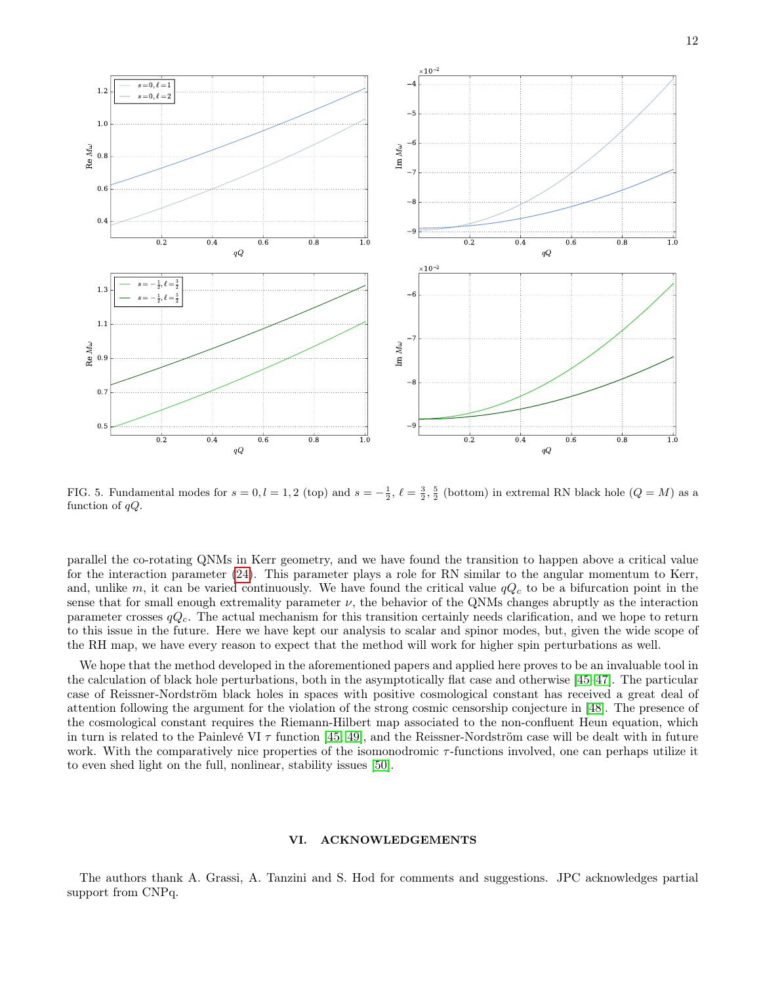

<span id="page-11-0"></span>FIG. 5. Fundamental modes for  $s = 0, l = 1, 2$  (top) and  $s = -\frac{1}{2}, \ell = \frac{3}{2}, \frac{5}{2}$  (bottom) in extremal RN black hole  $(Q = M)$  as a function of  $qQ$ .

parallel the co-rotating QNMs in Kerr geometry, and we have found the transition to happen above a critical value for the interaction parameter [\(24\)](#page-7-1). This parameter plays a role for RN similar to the angular momentum to Kerr, and, unlike m, it can be varied continuously. We have found the critical value  $qQ_c$  to be a bifurcation point in the sense that for small enough extremality parameter  $\nu$ , the behavior of the QNMs changes abruptly as the interaction parameter crosses  $qQ_c$ . The actual mechanism for this transition certainly needs clarification, and we hope to return to this issue in the future. Here we have kept our analysis to scalar and spinor modes, but, given the wide scope of the RH map, we have every reason to expect that the method will work for higher spin perturbations as well.

We hope that the method developed in the aforementioned papers and applied here proves to be an invaluable tool in the calculation of black hole perturbations, both in the asymptotically flat case and otherwise [\[45–](#page-15-25)[47\]](#page-15-26). The particular case of Reissner-Nordström black holes in spaces with positive cosmological constant has received a great deal of attention following the argument for the violation of the strong cosmic censorship conjecture in [\[48\]](#page-15-27). The presence of the cosmological constant requires the Riemann-Hilbert map associated to the non-confluent Heun equation, which in turn is related to the Painlevé VI  $\tau$  function [\[45,](#page-15-25) [49\]](#page-15-28), and the Reissner-Nordström case will be dealt with in future work. With the comparatively nice properties of the isomonodromic  $\tau$ -functions involved, one can perhaps utilize it to even shed light on the full, nonlinear, stability issues [\[50\]](#page-15-29).

# VI. ACKNOWLEDGEMENTS

The authors thank A. Grassi, A. Tanzini and S. Hod for comments and suggestions. JPC acknowledges partial support from CNPq.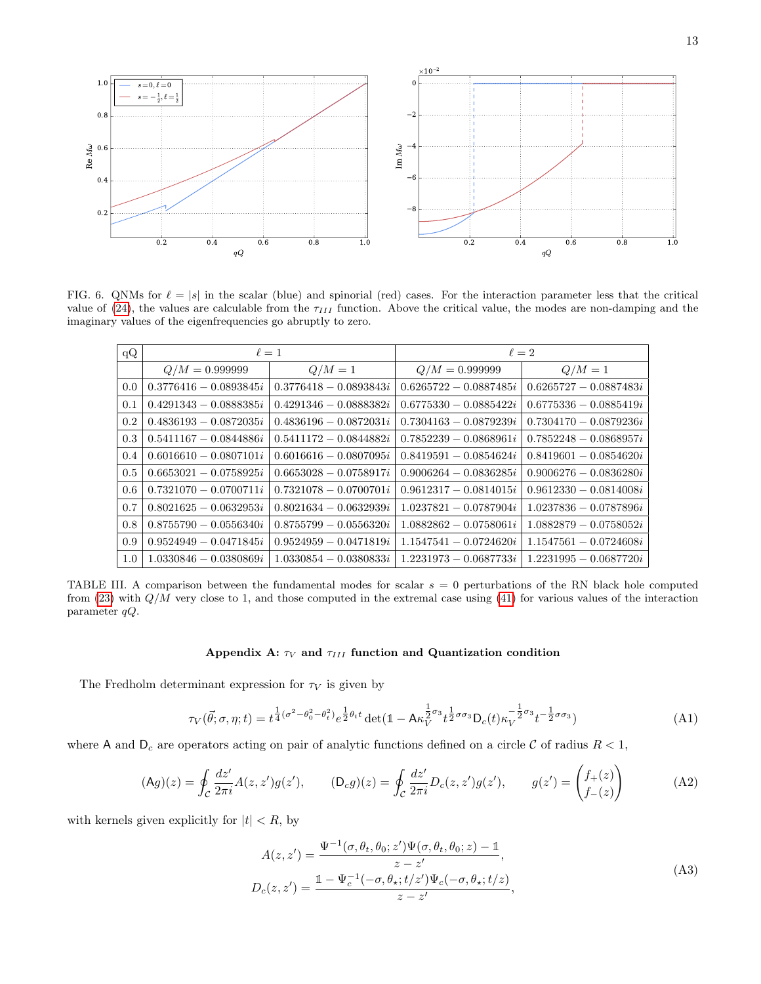

<span id="page-12-3"></span>FIG. 6. QNMs for  $\ell = |s|$  in the scalar (blue) and spinorial (red) cases. For the interaction parameter less that the critical value of [\(24\)](#page-7-1), the values are calculable from the  $\tau_{III}$  function. Above the critical value, the modes are non-damping and the imaginary values of the eigenfrequencies go abruptly to zero.

| qQ  |                          | $\ell=1$                 | $\ell=2$                 |                          |
|-----|--------------------------|--------------------------|--------------------------|--------------------------|
|     | $Q/M = 0.9999999$        | $Q/M=1$                  | $Q/M = 0.9999999$        | $Q/M=1$                  |
| 0.0 | $0.3776416 - 0.0893845i$ | $0.3776418 - 0.0893843i$ | $0.6265722 - 0.0887485i$ | $0.6265727 - 0.0887483i$ |
| 0.1 | $0.4291343 - 0.0888385i$ | $0.4291346 - 0.0888382i$ | $0.6775330 - 0.0885422i$ | $0.6775336 - 0.0885419i$ |
| 0.2 | $0.4836193 - 0.0872035i$ | $0.4836196 - 0.0872031i$ | $0.7304163 - 0.0879239i$ | $0.7304170 - 0.0879236i$ |
| 0.3 | $0.5411167 - 0.0844886i$ | $0.5411172 - 0.0844882i$ | $0.7852239 - 0.0868961i$ | $0.7852248 - 0.0868957i$ |
| 0.4 | $0.6016610 - 0.0807101i$ | $0.6016616 - 0.0807095i$ | $0.8419591 - 0.0854624i$ | $0.8419601 - 0.0854620i$ |
| 0.5 | $0.6653021 - 0.0758925i$ | $0.6653028 - 0.0758917i$ | $0.9006264 - 0.0836285i$ | $0.9006276 - 0.0836280i$ |
| 0.6 | $0.7321070 - 0.0700711i$ | $0.7321078 - 0.0700701i$ | $0.9612317 - 0.0814015i$ | $0.9612330 - 0.0814008i$ |
| 0.7 | $0.8021625 - 0.0632953i$ | $0.8021634 - 0.0632939i$ | $1.0237821 - 0.0787904i$ | $1.0237836 - 0.0787896i$ |
| 0.8 | $0.8755790 - 0.0556340i$ | $0.8755799 - 0.0556320i$ | $1.0882862 - 0.0758061i$ | $1.0882879 - 0.0758052i$ |
| 0.9 | $0.9524949 - 0.0471845i$ | $0.9524959 - 0.0471819i$ | $1.1547541 - 0.0724620i$ | $1.1547561 - 0.0724608i$ |
| 1.0 | $1.0330846 - 0.0380869i$ | $1.0330854 - 0.0380833i$ | $1.2231973 - 0.0687733i$ | $1.2231995 - 0.0687720i$ |

<span id="page-12-2"></span>TABLE III. A comparison between the fundamental modes for scalar  $s = 0$  perturbations of the RN black hole computed from  $(23)$  with  $Q/M$  very close to 1, and those computed in the extremal case using  $(41)$  for various values of the interaction parameter qQ.

# <span id="page-12-0"></span>Appendix A:  $\tau_V$  and  $\tau_{III}$  function and Quantization condition

The Fredholm determinant expression for  $\tau_V$  is given by

<span id="page-12-1"></span>
$$
\tau_V(\vec{\theta}; \sigma, \eta; t) = t^{\frac{1}{4}(\sigma^2 - \theta_0^2 - \theta_t^2)} e^{\frac{1}{2}\theta_t t} \det(\mathbb{1} - A\kappa_V^{\frac{1}{2}\sigma_3} t^{\frac{1}{2}\sigma_3} D_c(t)\kappa_V^{-\frac{1}{2}\sigma_3} t^{-\frac{1}{2}\sigma_3} \mathbb{1} \tag{A1}
$$

where A and  $D_c$  are operators acting on pair of analytic functions defined on a circle C of radius  $R < 1$ ,

$$
(\text{Ag})(z) = \oint_{\mathcal{C}} \frac{dz'}{2\pi i} A(z, z') g(z'), \qquad (\text{D}_{c}g)(z) = \oint_{\mathcal{C}} \frac{dz'}{2\pi i} D_{c}(z, z') g(z'), \qquad g(z') = \begin{pmatrix} f_{+}(z) \\ f_{-}(z) \end{pmatrix}
$$
(A2)

with kernels given explicitly for  $|t| < R$ , by

$$
A(z, z') = \frac{\Psi^{-1}(\sigma, \theta_t, \theta_0; z') \Psi(\sigma, \theta_t, \theta_0; z) - \mathbb{1}}{z - z'},
$$
  
\n
$$
D_c(z, z') = \frac{\mathbb{1} - \Psi_c^{-1}(-\sigma, \theta_\star; t/z') \Psi_c(-\sigma, \theta_\star; t/z)}{z - z'},
$$
\n(A3)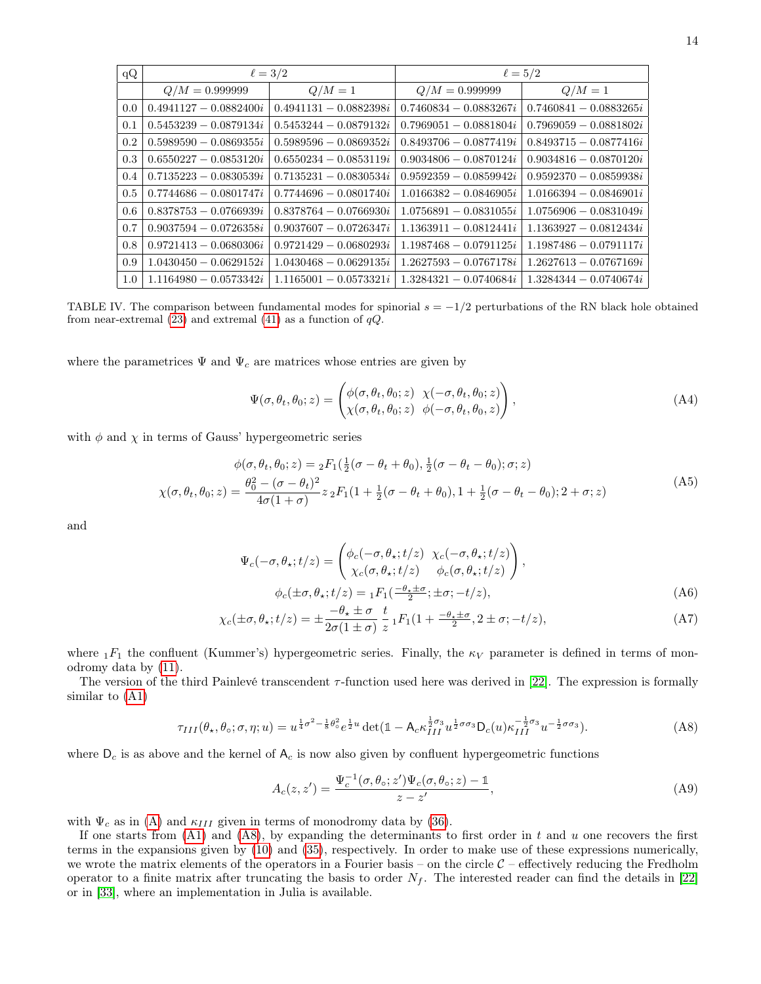| qQ  | $\ell = 3/2$             |                          | $\ell = 5/2$             |                          |
|-----|--------------------------|--------------------------|--------------------------|--------------------------|
|     | $Q/M = 0.9999999$        | $Q/M=1$                  | $Q/M = 0.9999999$        | $Q/M=1$                  |
| 0.0 | $0.4941127 - 0.0882400i$ | $0.4941131 - 0.0882398i$ | $0.7460834 - 0.0883267i$ | $0.7460841 - 0.0883265i$ |
| 0.1 | $0.5453239 - 0.0879134i$ | $0.5453244 - 0.0879132i$ | $0.7969051 - 0.0881804i$ | $0.7969059 - 0.0881802i$ |
| 0.2 | $0.5989590 - 0.0869355i$ | $0.5989596 - 0.0869352i$ | $0.8493706 - 0.0877419i$ | $0.8493715 - 0.0877416i$ |
| 0.3 | $0.6550227 - 0.0853120i$ | $0.6550234 - 0.0853119i$ | $0.9034806 - 0.0870124i$ | $0.9034816 - 0.0870120i$ |
| 0.4 | $0.7135223 - 0.0830539i$ | $0.7135231 - 0.0830534i$ | $0.9592359 - 0.0859942i$ | $0.9592370 - 0.0859938i$ |
| 0.5 | $0.7744686 - 0.0801747i$ | $0.7744696 - 0.0801740i$ | $1.0166382 - 0.0846905i$ | $1.0166394 - 0.0846901i$ |
| 0.6 | $0.8378753 - 0.0766939i$ | $0.8378764 - 0.0766930i$ | $1.0756891 - 0.0831055i$ | $1.0756906 - 0.0831049i$ |
| 0.7 | $0.9037594 - 0.0726358i$ | $0.9037607 - 0.0726347i$ | $1.1363911 - 0.0812441i$ | $1.1363927 - 0.0812434i$ |
| 0.8 | $0.9721413 - 0.0680306i$ | $0.9721429 - 0.0680293i$ | $1.1987468 - 0.0791125i$ | $1.1987486 - 0.0791117i$ |
| 0.9 | $1.0430450 - 0.0629152i$ | $1.0430468 - 0.0629135i$ | $1.2627593 - 0.0767178i$ | $1.2627613 - 0.0767169i$ |
| 1.0 | $1.1164980 - 0.0573342i$ | $1.1165001 - 0.0573321i$ | $1.3284321 - 0.0740684i$ | $1.3284344 - 0.0740674i$ |

<span id="page-13-1"></span>TABLE IV. The comparison between fundamental modes for spinorial  $s = -1/2$  perturbations of the RN black hole obtained from near-extremal [\(23\)](#page-4-2) and extremal [\(41\)](#page-10-3) as a function of  $qQ$ .

where the parametrices  $\Psi$  and  $\Psi_c$  are matrices whose entries are given by

$$
\Psi(\sigma, \theta_t, \theta_0; z) = \begin{pmatrix} \phi(\sigma, \theta_t, \theta_0; z) & \chi(-\sigma, \theta_t, \theta_0; z) \\ \chi(\sigma, \theta_t, \theta_0; z) & \phi(-\sigma, \theta_t, \theta_0, z) \end{pmatrix},
$$
\n(A4)

with  $\phi$  and  $\chi$  in terms of Gauss' hypergeometric series

$$
\phi(\sigma, \theta_t, \theta_0; z) = {}_2F_1(\frac{1}{2}(\sigma - \theta_t + \theta_0), \frac{1}{2}(\sigma - \theta_t - \theta_0); \sigma; z)
$$

$$
\chi(\sigma, \theta_t, \theta_0; z) = \frac{\theta_0^2 - (\sigma - \theta_t)^2}{4\sigma(1 + \sigma)} z {}_2F_1(1 + \frac{1}{2}(\sigma - \theta_t + \theta_0), 1 + \frac{1}{2}(\sigma - \theta_t - \theta_0); 2 + \sigma; z)
$$
(A5)

and

$$
\Psi_c(-\sigma, \theta_\star; t/z) = \begin{pmatrix} \phi_c(-\sigma, \theta_\star; t/z) & \chi_c(-\sigma, \theta_\star; t/z) \\ \chi_c(\sigma, \theta_\star; t/z) & \phi_c(\sigma, \theta_\star; t/z) \end{pmatrix},
$$

<span id="page-13-2"></span>
$$
\phi_c(\pm \sigma, \theta_\star; t/z) = {}_1F_1(\frac{-\theta_\star \pm \sigma}{2}; \pm \sigma; -t/z),\tag{A6}
$$

$$
\chi_c(\pm\sigma,\theta_\star;t/z) = \pm \frac{-\theta_\star \pm \sigma}{2\sigma(1\pm\sigma)} \frac{t}{z} {}_1F_1(1 + \frac{-\theta_\star \pm \sigma}{2}, 2\pm\sigma; -t/z),\tag{A7}
$$

where  $1F_1$  the confluent (Kummer's) hypergeometric series. Finally, the  $\kappa_V$  parameter is defined in terms of monodromy data by [\(11\)](#page-2-3).

The version of the third Painlevé transcendent  $\tau$ -function used here was derived in [\[22\]](#page-15-3). The expression is formally similar to [\(A1\)](#page-12-1)

<span id="page-13-0"></span>
$$
\tau_{III}(\theta_{\star}, \theta_{\circ}; \sigma, \eta; u) = u^{\frac{1}{4}\sigma^2 - \frac{1}{8}\theta_{\circ}^2} e^{\frac{1}{2}u} \det(\mathbb{1} - \mathsf{A}_{c}\kappa_{III}^{\frac{1}{2}\sigma_3} u^{\frac{1}{2}\sigma_3} \mathsf{D}_{c}(u) \kappa_{III}^{-\frac{1}{2}\sigma_3} u^{-\frac{1}{2}\sigma_3} \mathsf{D}.
$$
 (A8)

where  $D_c$  is as above and the kernel of  $A_c$  is now also given by confluent hypergeometric functions

$$
A_c(z, z') = \frac{\Psi_c^{-1}(\sigma, \theta_o; z')\Psi_c(\sigma, \theta_o; z) - \mathbb{1}}{z - z'},
$$
\n(A9)

with  $\Psi_c$  as in [\(A\)](#page-13-2) and  $\kappa_{III}$  given in terms of monodromy data by [\(36\)](#page-9-4).

If one starts from  $(A1)$  and  $(A8)$ , by expanding the determinants to first order in t and u one recovers the first terms in the expansions given by [\(10\)](#page-2-1) and [\(35\)](#page-9-5), respectively. In order to make use of these expressions numerically, we wrote the matrix elements of the operators in a Fourier basis – on the circle  $C$  – effectively reducing the Fredholm operator to a finite matrix after truncating the basis to order  $N_f$ . The interested reader can find the details in [\[22\]](#page-15-3) or in [\[33\]](#page-15-13), where an implementation in Julia is available.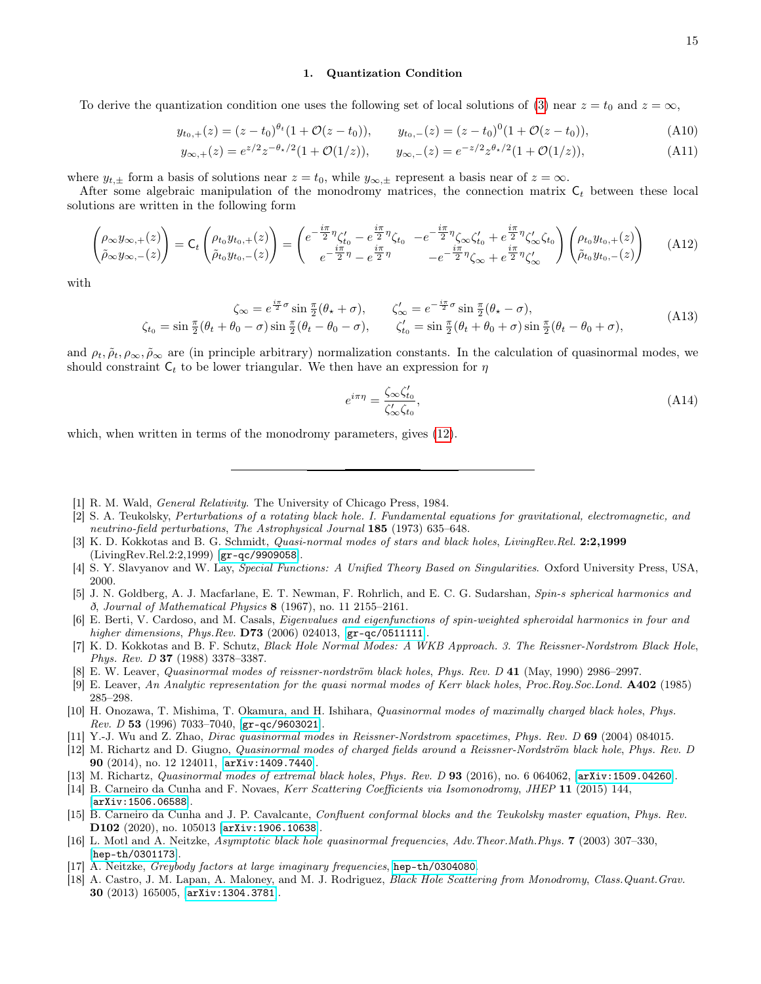#### <span id="page-14-17"></span>1. Quantization Condition

To derive the quantization condition one uses the following set of local solutions of [\(3\)](#page-1-1) near  $z = t_0$  and  $z = \infty$ ,

$$
y_{t_0,+}(z) = (z - t_0)^{\theta_t} (1 + \mathcal{O}(z - t_0)), \qquad y_{t_0,-}(z) = (z - t_0)^0 (1 + \mathcal{O}(z - t_0)), \tag{A10}
$$

$$
y_{\infty,+}(z) = e^{z/2} z^{-\theta_{\star}/2} (1 + \mathcal{O}(1/z)), \qquad y_{\infty,-}(z) = e^{-z/2} z^{\theta_{\star}/2} (1 + \mathcal{O}(1/z)), \tag{A11}
$$

where  $y_{t,\pm}$  form a basis of solutions near  $z = t_0$ , while  $y_{\infty,\pm}$  represent a basis near of  $z = \infty$ .

After some algebraic manipulation of the monodromy matrices, the connection matrix  $C_t$  between these local solutions are written in the following form

$$
\begin{pmatrix}\n\rho_{\infty}y_{\infty,+}(z) \\
\tilde{\rho}_{\infty}y_{\infty,-}(z)\n\end{pmatrix} = C_t \begin{pmatrix}\n\rho_{t_0}y_{t_0,+}(z) \\
\tilde{\rho}_{t_0}y_{t_0,-}(z)\n\end{pmatrix} = \begin{pmatrix}\ne^{-\frac{i\pi}{2}\eta}\zeta'_{t_0} - e^{\frac{i\pi}{2}\eta}\zeta_{t_0} & -e^{-\frac{i\pi}{2}\eta}\zeta_{\infty}\zeta'_{t_0} + e^{\frac{i\pi}{2}\eta}\zeta'_{\infty}\zeta_{t_0} \\
e^{-\frac{i\pi}{2}\eta} - e^{\frac{i\pi}{2}\eta} & -e^{-\frac{i\pi}{2}\eta}\zeta_{\infty} + e^{\frac{i\pi}{2}\eta}\zeta'_{\infty}\n\end{pmatrix} \begin{pmatrix}\n\rho_{t_0}y_{t_0,+}(z) \\
\tilde{\rho}_{t_0}y_{t_0,-}(z)\n\end{pmatrix}
$$
\n(A12)

with

$$
\zeta_{\infty} = e^{\frac{i\pi}{2}\sigma} \sin \frac{\pi}{2}(\theta_{\star} + \sigma), \qquad \zeta_{\infty}' = e^{-\frac{i\pi}{2}\sigma} \sin \frac{\pi}{2}(\theta_{\star} - \sigma),
$$
\n
$$
\zeta_{t_0} = \sin \frac{\pi}{2}(\theta_t + \theta_0 - \sigma) \sin \frac{\pi}{2}(\theta_t - \theta_0 - \sigma), \qquad \zeta_{t_0}' = \sin \frac{\pi}{2}(\theta_t + \theta_0 + \sigma) \sin \frac{\pi}{2}(\theta_t - \theta_0 + \sigma),
$$
\n(A13)

and  $\rho_t$ ,  $\tilde{\rho}_t$ ,  $\rho_\infty$ ,  $\tilde{\rho}_\infty$  are (in principle arbitrary) normalization constants. In the calculation of quasinormal modes, we should constraint  $C_t$  to be lower triangular. We then have an expression for  $\eta$ 

$$
e^{i\pi\eta} = \frac{\zeta_{\infty}\zeta_{t_0}'}{\zeta_{\infty}'\zeta_{t_0}},\tag{A14}
$$

which, when written in terms of the monodromy parameters, gives  $(12)$ .

- <span id="page-14-0"></span>[1] R. M. Wald, General Relativity. The University of Chicago Press, 1984.
- <span id="page-14-1"></span>[2] S. A. Teukolsky, Perturbations of a rotating black hole. I. Fundamental equations for gravitational, electromagnetic, and neutrino-field perturbations, The Astrophysical Journal 185 (1973) 635–648.
- <span id="page-14-2"></span>[3] K. D. Kokkotas and B. G. Schmidt, *Quasi-normal modes of stars and black holes, LivingRev.Rel.* 2:2,1999 (LivingRev.Rel.2:2,1999) [[gr-qc/9909058](http://arxiv.org/abs/gr-qc/9909058)].
- <span id="page-14-3"></span>[4] S. Y. Slavyanov and W. Lay, Special Functions: A Unified Theory Based on Singularities. Oxford University Press, USA, 2000.
- <span id="page-14-4"></span>[5] J. N. Goldberg, A. J. Macfarlane, E. T. Newman, F. Rohrlich, and E. C. G. Sudarshan, Spin-s spherical harmonics and ð, Journal of Mathematical Physics 8 (1967), no. 11 2155–2161.
- <span id="page-14-5"></span>[6] E. Berti, V. Cardoso, and M. Casals, Eigenvalues and eigenfunctions of spin-weighted spheroidal harmonics in four and higher dimensions, Phys.Rev. **D73** (2006) 024013, [[gr-qc/0511111](http://arxiv.org/abs/gr-qc/0511111)].
- <span id="page-14-6"></span>[7] K. D. Kokkotas and B. F. Schutz, Black Hole Normal Modes: A WKB Approach. 3. The Reissner-Nordstrom Black Hole, Phys. Rev. D 37 (1988) 3378–3387.
- <span id="page-14-7"></span>[8] E. W. Leaver, Quasinormal modes of reissner-nordström black holes, Phys. Rev. D 41 (May, 1990) 2986–2997.
- <span id="page-14-8"></span>[9] E. Leaver, An Analytic representation for the quasi normal modes of Kerr black holes, Proc.Roy.Soc.Lond. A402 (1985) 285–298.
- <span id="page-14-9"></span>[10] H. Onozawa, T. Mishima, T. Okamura, and H. Ishihara, Quasinormal modes of maximally charged black holes, Phys. Rev. D 53 (1996) 7033-7040,  $[\text{gr-qc/9603021}]$  $[\text{gr-qc/9603021}]$  $[\text{gr-qc/9603021}]$ .
- <span id="page-14-10"></span>[11] Y.-J. Wu and Z. Zhao, Dirac quasinormal modes in Reissner-Nordstrom spacetimes, Phys. Rev. D 69 (2004) 084015.
- <span id="page-14-11"></span>[12] M. Richartz and D. Giugno, Quasinormal modes of charged fields around a Reissner-Nordström black hole, Phys. Rev. D 90 (2014), no. 12 124011, [[arXiv:1409.7440](http://arxiv.org/abs/1409.7440)].
- <span id="page-14-12"></span>[13] M. Richartz, Quasinormal modes of extremal black holes, Phys. Rev. D 93 (2016), no. 6 064062, [[arXiv:1509.04260](http://arxiv.org/abs/1509.04260)].
- <span id="page-14-13"></span>[14] B. Carneiro da Cunha and F. Novaes, Kerr Scattering Coefficients via Isomonodromy, JHEP 11 (2015) 144, [[arXiv:1506.06588](http://arxiv.org/abs/1506.06588)].
- <span id="page-14-14"></span>[15] B. Carneiro da Cunha and J. P. Cavalcante, Confluent conformal blocks and the Teukolsky master equation, Phys. Rev. D102 (2020), no. 105013 [[arXiv:1906.10638](http://arxiv.org/abs/1906.10638)].
- <span id="page-14-15"></span>[16] L. Motl and A. Neitzke, Asymptotic black hole quasinormal frequencies, Adv.Theor.Math.Phys. 7 (2003) 307–330, [[hep-th/0301173](http://arxiv.org/abs/hep-th/0301173)].
- [17] A. Neitzke, Greybody factors at large imaginary frequencies, [hep-th/0304080](http://arxiv.org/abs/hep-th/0304080).
- <span id="page-14-16"></span>[18] A. Castro, J. M. Lapan, A. Maloney, and M. J. Rodriguez, Black Hole Scattering from Monodromy, Class.Quant.Grav. 30 (2013) 165005, [[arXiv:1304.3781](http://arxiv.org/abs/1304.3781)].